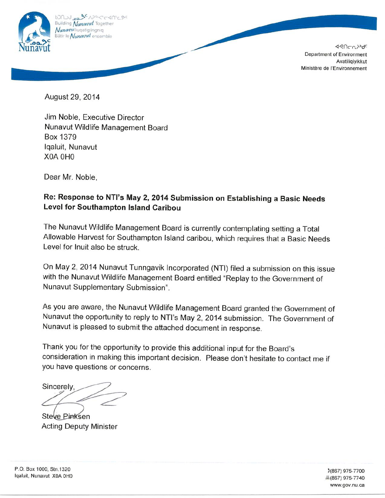

**<<br />
B<br />
1994<br />
C<br />
D<br />
P<br />
B<br />
D<br />
P<br />
B<br />
D<br />
C<br />
D<br />
D<br />
C<br />
D<br />
D<br />
D<br />
D<br />
D<br />
D<br />
D<br />
D<br />D<br />D<br />D<br />D<br />D<br />** Department of Environment Avatiliqiyikkut Ministère de l'Environnement

August 29, 2014

Jim Noble, Executive Director Nunavut Wildlife Management Board Box 1379 Iqaluit, Nunavut X0A 0H0

Dear Mr. Noble.

# Re: Response to NTI's May 2, 2014 Submission on Establishing a Basic Needs Level for Southampton Island Caribou

The Nunavut Wildlife Management Board is currently contemplating setting a Total Allowable Harvest for Southampton Island caribou, which requires that a Basic Needs Level for Inuit also be struck.

On May 2, 2014 Nunavut Tunngavik Incorporated (NTI) filed a submission on this issue with the Nunavut Wildlife Management Board entitled "Replay to the Government of Nunavut Supplementary Submission".

As you are aware, the Nunavut Wildlife Management Board granted the Government of Nunavut the opportunity to reply to NTI's May 2, 2014 submission. The Government of Nunavut is pleased to submit the attached document in response.

Thank you for the opportunity to provide this additional input for the Board's consideration in making this important decision. Please don't hesitate to contact me if you have questions or concerns.

Sincerely.

Steve Pinksen **Acting Deputy Minister** 

P.O. Box 1000, Stn.1320 Igaluit, Nunavut X0A 0H0

3(867) 975-7700 昌(867) 975-7740 www.gov.nu.ca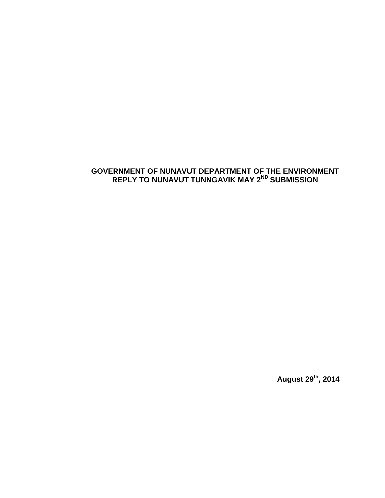#### <span id="page-1-0"></span>**GOVERNMENT OF NUNAVUT DEPARTMENT OF THE ENVIRONMENT REPLY TO NUNAVUT TUNNGAVIK MAY 2ND SUBMISSION**

**August 29th, 2014**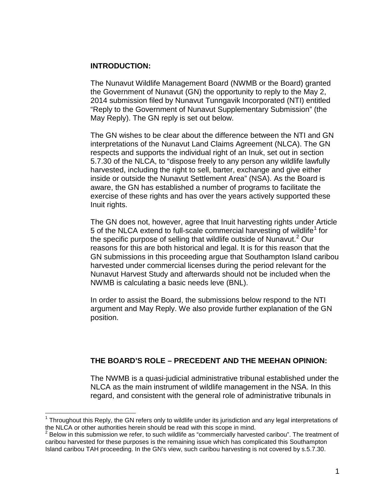#### **INTRODUCTION:**

The Nunavut Wildlife Management Board (NWMB or the Board) granted the Government of Nunavut (GN) the opportunity to reply to the May 2, 2014 submission filed by Nunavut Tunngavik Incorporated (NTI) entitled "Reply to the Government of Nunavut Supplementary Submission" (the May Reply). The GN reply is set out below.

The GN wishes to be clear about the difference between the NTI and GN interpretations of the Nunavut Land Claims Agreement (NLCA). The GN respects and supports the individual right of an Inuk, set out in section 5.7.30 of the NLCA, to "dispose freely to any person any wildlife lawfully harvested, including the right to sell, barter, exchange and give either inside or outside the Nunavut Settlement Area" (NSA). As the Board is aware, the GN has established a number of programs to facilitate the exercise of these rights and has over the years actively supported these Inuit rights.

The GN does not, however, agree that Inuit harvesting rights under Article 5 of the NLCA extend to full-scale commercial harvesting of wildlife<sup>[1](#page-1-0)</sup> for the specific purpose of selling that wildlife outside of Nunavut.<sup>[2](#page-2-0)</sup> Our reasons for this are both historical and legal. It is for this reason that the GN submissions in this proceeding argue that Southampton Island caribou harvested under commercial licenses during the period relevant for the Nunavut Harvest Study and afterwards should not be included when the NWMB is calculating a basic needs leve (BNL).

In order to assist the Board, the submissions below respond to the NTI argument and May Reply. We also provide further explanation of the GN position.

#### **THE BOARD'S ROLE – PRECEDENT AND THE MEEHAN OPINION:**

The NWMB is a quasi-judicial administrative tribunal established under the NLCA as the main instrument of wildlife management in the NSA. In this regard, and consistent with the general role of administrative tribunals in

 $1$  Throughout this Reply, the GN refers only to wildlife under its jurisdiction and any legal interpretations of the NLCA or other authorities herein should be read with this scope in mind.

<span id="page-2-0"></span> $2$  Below in this submission we refer, to such wildlife as "commercially harvested caribou". The treatment of caribou harvested for these purposes is the remaining issue which has complicated this Southampton Island caribou TAH proceeding. In the GN's view, such caribou harvesting is not covered by s.5.7.30.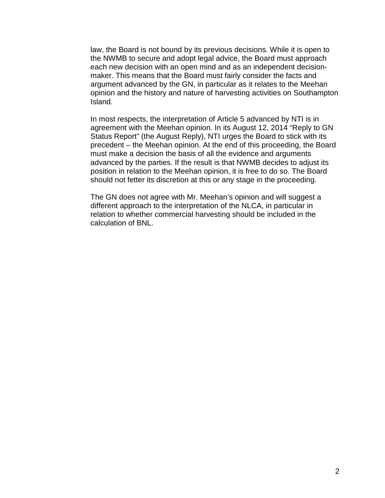law, the Board is not bound by its previous decisions. While it is open to the NWMB to secure and adopt legal advice, the Board must approach each new decision with an open mind and as an independent decisionmaker. This means that the Board must fairly consider the facts and argument advanced by the GN, in particular as it relates to the Meehan opinion and the history and nature of harvesting activities on Southampton Island.

In most respects, the interpretation of Article 5 advanced by NTI is in agreement with the Meehan opinion. In its August 12, 2014 "Reply to GN Status Report" (the August Reply), NTI urges the Board to stick with its precedent – the Meehan opinion. At the end of this proceeding, the Board must make a decision the basis of all the evidence and arguments advanced by the parties. If the result is that NWMB decides to adjust its position in relation to the Meehan opinion, it is free to do so. The Board should not fetter its discretion at this or any stage in the proceeding.

The GN does not agree with Mr. Meehan's opinion and will suggest a different approach to the interpretation of the NLCA, in particular in relation to whether commercial harvesting should be included in the calculation of BNL.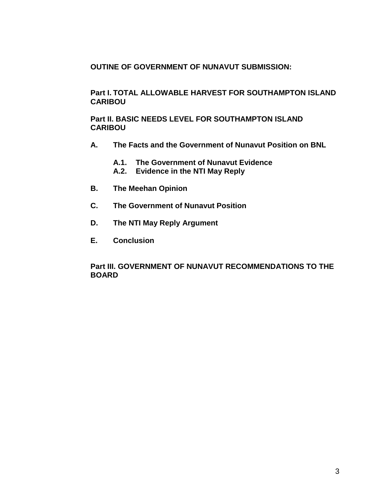**OUTINE OF GOVERNMENT OF NUNAVUT SUBMISSION:**

**Part I. TOTAL ALLOWABLE HARVEST FOR SOUTHAMPTON ISLAND CARIBOU**

**Part II. BASIC NEEDS LEVEL FOR SOUTHAMPTON ISLAND CARIBOU**

- **A. The Facts and the Government of Nunavut Position on BNL**
	- **A.1. The Government of Nunavut Evidence**
	- **A.2. Evidence in the NTI May Reply**
- **B. The Meehan Opinion**
- **C. The Government of Nunavut Position**
- **D. The NTI May Reply Argument**
- **E. Conclusion**

#### **Part III. GOVERNMENT OF NUNAVUT RECOMMENDATIONS TO THE BOARD**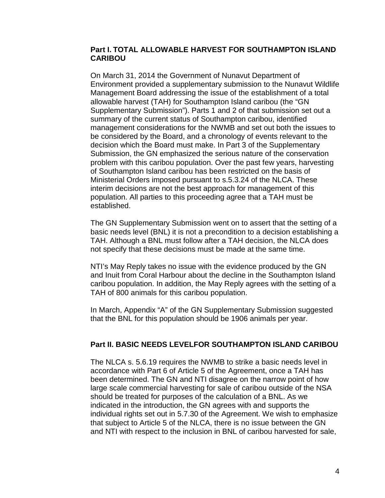#### **Part I. TOTAL ALLOWABLE HARVEST FOR SOUTHAMPTON ISLAND CARIBOU**

On March 31, 2014 the Government of Nunavut Department of Environment provided a supplementary submission to the Nunavut Wildlife Management Board addressing the issue of the establishment of a total allowable harvest (TAH) for Southampton Island caribou (the "GN Supplementary Submission"). Parts 1 and 2 of that submission set out a summary of the current status of Southampton caribou, identified management considerations for the NWMB and set out both the issues to be considered by the Board, and a chronology of events relevant to the decision which the Board must make. In Part 3 of the Supplementary Submission, the GN emphasized the serious nature of the conservation problem with this caribou population. Over the past few years, harvesting of Southampton Island caribou has been restricted on the basis of Ministerial Orders imposed pursuant to s.5.3.24 of the NLCA. These interim decisions are not the best approach for management of this population. All parties to this proceeding agree that a TAH must be established.

The GN Supplementary Submission went on to assert that the setting of a basic needs level (BNL) it is not a precondition to a decision establishing a TAH. Although a BNL must follow after a TAH decision, the NLCA does not specify that these decisions must be made at the same time.

NTI's May Reply takes no issue with the evidence produced by the GN and Inuit from Coral Harbour about the decline in the Southampton Island caribou population. In addition, the May Reply agrees with the setting of a TAH of 800 animals for this caribou population.

In March, Appendix "A" of the GN Supplementary Submission suggested that the BNL for this population should be 1906 animals per year.

#### **Part II. BASIC NEEDS LEVELFOR SOUTHAMPTON ISLAND CARIBOU**

The NLCA s. 5.6.19 requires the NWMB to strike a basic needs level in accordance with Part 6 of Article 5 of the Agreement, once a TAH has been determined. The GN and NTI disagree on the narrow point of how large scale commercial harvesting for sale of caribou outside of the NSA should be treated for purposes of the calculation of a BNL. As we indicated in the introduction, the GN agrees with and supports the individual rights set out in 5.7.30 of the Agreement. We wish to emphasize that subject to Article 5 of the NLCA, there is no issue between the GN and NTI with respect to the inclusion in BNL of caribou harvested for sale,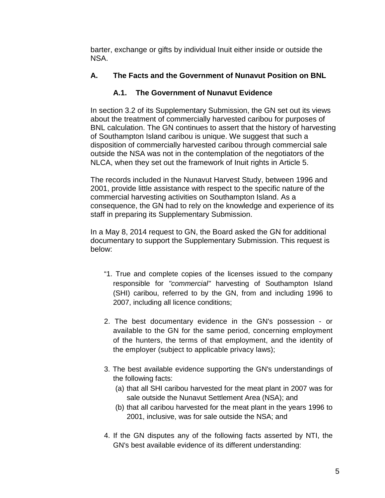barter, exchange or gifts by individual Inuit either inside or outside the NSA.

# **A. The Facts and the Government of Nunavut Position on BNL**

## **A.1. The Government of Nunavut Evidence**

In section 3.2 of its Supplementary Submission, the GN set out its views about the treatment of commercially harvested caribou for purposes of BNL calculation. The GN continues to assert that the history of harvesting of Southampton Island caribou is unique. We suggest that such a disposition of commercially harvested caribou through commercial sale outside the NSA was not in the contemplation of the negotiators of the NLCA, when they set out the framework of Inuit rights in Article 5.

The records included in the Nunavut Harvest Study, between 1996 and 2001, provide little assistance with respect to the specific nature of the commercial harvesting activities on Southampton Island. As a consequence, the GN had to rely on the knowledge and experience of its staff in preparing its Supplementary Submission.

In a May 8, 2014 request to GN, the Board asked the GN for additional documentary to support the Supplementary Submission. This request is below:

- "1. True and complete copies of the licenses issued to the company responsible for *"commercial"* harvesting of Southampton Island (SHI) caribou, referred to by the GN, from and including 1996 to 2007, including all licence conditions;
- 2. The best documentary evidence in the GN's possession or available to the GN for the same period, concerning employment of the hunters, the terms of that employment, and the identity of the employer (subject to applicable privacy laws);
- 3. The best available evidence supporting the GN's understandings of the following facts:
	- (a) that all SHI caribou harvested for the meat plant in 2007 was for sale outside the Nunavut Settlement Area (NSA); and
	- (b) that all caribou harvested for the meat plant in the years 1996 to 2001, inclusive, was for sale outside the NSA; and
- 4. If the GN disputes any of the following facts asserted by NTI, the GN's best available evidence of its different understanding: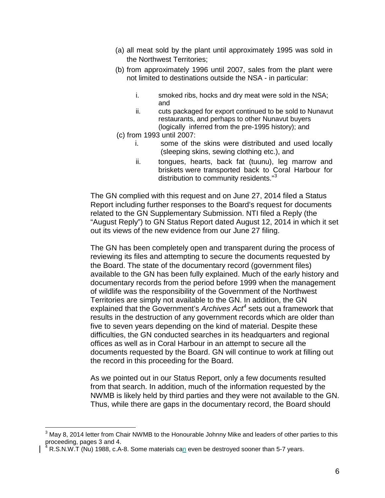- (a) all meat sold by the plant until approximately 1995 was sold in the Northwest Territories;
- (b) from approximately 1996 until 2007, sales from the plant were not limited to destinations outside the NSA - in particular:
	- i. smoked ribs, hocks and dry meat were sold in the NSA; and
	- ii. cuts packaged for export continued to be sold to Nunavut restaurants, and perhaps to other Nunavut buyers (logically inferred from the pre-1995 history); and
- (c) from 1993 until 2007:
	- i. some of the skins were distributed and used locally (sleeping skins, sewing clothing etc.), and
	- ii. tongues, hearts, back fat (tuunu), leg marrow and briskets were transported back to Coral Harbour for distribution to community residents."<sup>[3](#page-2-0)</sup>

The GN complied with this request and on June 27, 2014 filed a Status Report including further responses to the Board's request for documents related to the GN Supplementary Submission. NTI filed a Reply (the "August Reply") to GN Status Report dated August 12, 2014 in which it set out its views of the new evidence from our June 27 filing.

The GN has been completely open and transparent during the process of reviewing its files and attempting to secure the documents requested by the Board. The state of the documentary record (government files) available to the GN has been fully explained. Much of the early history and documentary records from the period before 1999 when the management of wildlife was the responsibility of the Government of the Northwest Territories are simply not available to the GN. In addition, the GN explained that the Government's *Archives Act[4](#page-7-0)* sets out a framework that results in the destruction of any government records which are older than five to seven years depending on the kind of material. Despite these difficulties, the GN conducted searches in its headquarters and regional offices as well as in Coral Harbour in an attempt to secure all the documents requested by the Board. GN will continue to work at filling out the record in this proceeding for the Board.

As we pointed out in our Status Report, only a few documents resulted from that search. In addition, much of the information requested by the NWMB is likely held by third parties and they were not available to the GN. Thus, while there are gaps in the documentary record, the Board should

 $3$  May 8, 2014 letter from Chair NWMB to the Honourable Johnny Mike and leaders of other parties to this proceeding, pages 3 and 4.<br> $^{4}$  R S N W T (1)

<span id="page-7-0"></span> $4$  R.S.N.W.T (Nu) 1988, c.A-8. Some materials can even be destroyed sooner than 5-7 years.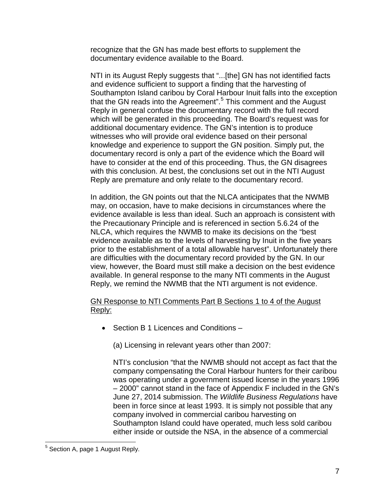recognize that the GN has made best efforts to supplement the documentary evidence available to the Board.

NTI in its August Reply suggests that "...[the] GN has not identified facts and evidence sufficient to support a finding that the harvesting of Southampton Island caribou by Coral Harbour Inuit falls into the exception that the GN reads into the Agreement".<sup>[5](#page-7-0)</sup> This comment and the August Reply in general confuse the documentary record with the full record which will be generated in this proceeding. The Board's request was for additional documentary evidence. The GN's intention is to produce witnesses who will provide oral evidence based on their personal knowledge and experience to support the GN position. Simply put, the documentary record is only a part of the evidence which the Board will have to consider at the end of this proceeding. Thus, the GN disagrees with this conclusion. At best, the conclusions set out in the NTI August Reply are premature and only relate to the documentary record.

In addition, the GN points out that the NLCA anticipates that the NWMB may, on occasion, have to make decisions in circumstances where the evidence available is less than ideal. Such an approach is consistent with the Precautionary Principle and is referenced in section 5.6.24 of the NLCA, which requires the NWMB to make its decisions on the "best evidence available as to the levels of harvesting by Inuit in the five years prior to the establishment of a total allowable harvest". Unfortunately there are difficulties with the documentary record provided by the GN. In our view, however, the Board must still make a decision on the best evidence available. In general response to the many NTI comments in the August Reply, we remind the NWMB that the NTI argument is not evidence.

#### GN Response to NTI Comments Part B Sections 1 to 4 of the August Reply:

• Section B 1 Licences and Conditions –

(a) Licensing in relevant years other than 2007:

NTI's conclusion "that the NWMB should not accept as fact that the company compensating the Coral Harbour hunters for their caribou was operating under a government issued license in the years 1996 – 2000" cannot stand in the face of Appendix F included in the GN's June 27, 2014 submission. The *Wildlife Business Regulations* have been in force since at least 1993. It is simply not possible that any company involved in commercial caribou harvesting on Southampton Island could have operated, much less sold caribou either inside or outside the NSA, in the absence of a commercial

<span id="page-8-0"></span> <sup>5</sup> Section A, page 1 August Reply.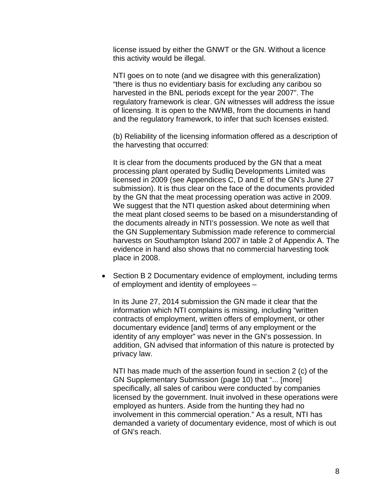license issued by either the GNWT or the GN. Without a licence this activity would be illegal.

NTI goes on to note (and we disagree with this generalization) "there is thus no evidentiary basis for excluding any caribou so harvested in the BNL periods except for the year 2007". The regulatory framework is clear. GN witnesses will address the issue of licensing. It is open to the NWMB, from the documents in hand and the regulatory framework, to infer that such licenses existed.

(b) Reliability of the licensing information offered as a description of the harvesting that occurred:

It is clear from the documents produced by the GN that a meat processing plant operated by Sudliq Developments Limited was licensed in 2009 (see Appendices C, D and E of the GN's June 27 submission). It is thus clear on the face of the documents provided by the GN that the meat processing operation was active in 2009. We suggest that the NTI question asked about determining when the meat plant closed seems to be based on a misunderstanding of the documents already in NTI's possession. We note as well that the GN Supplementary Submission made reference to commercial harvests on Southampton Island 2007 in table 2 of Appendix A. The evidence in hand also shows that no commercial harvesting took place in 2008.

• Section B 2 Documentary evidence of employment, including terms of employment and identity of employees –

In its June 27, 2014 submission the GN made it clear that the information which NTI complains is missing, including "written contracts of employment, written offers of employment, or other documentary evidence [and] terms of any employment or the identity of any employer" was never in the GN's possession. In addition, GN advised that information of this nature is protected by privacy law.

NTI has made much of the assertion found in section 2 (c) of the GN Supplementary Submission (page 10) that "... [more] specifically, all sales of caribou were conducted by companies licensed by the government. Inuit involved in these operations were employed as hunters. Aside from the hunting they had no involvement in this commercial operation." As a result, NTI has demanded a variety of documentary evidence, most of which is out of GN's reach.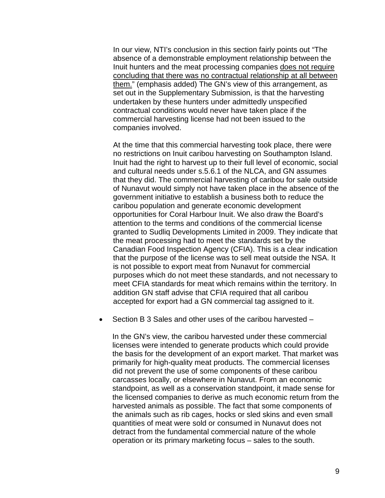In our view, NTI's conclusion in this section fairly points out "The absence of a demonstrable employment relationship between the Inuit hunters and the meat processing companies does not require concluding that there was no contractual relationship at all between them." (emphasis added) The GN's view of this arrangement, as set out in the Supplementary Submission, is that the harvesting undertaken by these hunters under admittedly unspecified contractual conditions would never have taken place if the commercial harvesting license had not been issued to the companies involved.

At the time that this commercial harvesting took place, there were no restrictions on Inuit caribou harvesting on Southampton Island. Inuit had the right to harvest up to their full level of economic, social and cultural needs under s.5.6.1 of the NLCA, and GN assumes that they did. The commercial harvesting of caribou for sale outside of Nunavut would simply not have taken place in the absence of the government initiative to establish a business both to reduce the caribou population and generate economic development opportunities for Coral Harbour Inuit. We also draw the Board's attention to the terms and conditions of the commercial license granted to Sudliq Developments Limited in 2009. They indicate that the meat processing had to meet the standards set by the Canadian Food Inspection Agency (CFIA). This is a clear indication that the purpose of the license was to sell meat outside the NSA. It is not possible to export meat from Nunavut for commercial purposes which do not meet these standards, and not necessary to meet CFIA standards for meat which remains within the territory. In addition GN staff advise that CFIA required that all caribou accepted for export had a GN commercial tag assigned to it.

• Section B 3 Sales and other uses of the caribou harvested –

In the GN's view, the caribou harvested under these commercial licenses were intended to generate products which could provide the basis for the development of an export market. That market was primarily for high-quality meat products. The commercial licenses did not prevent the use of some components of these caribou carcasses locally, or elsewhere in Nunavut. From an economic standpoint, as well as a conservation standpoint, it made sense for the licensed companies to derive as much economic return from the harvested animals as possible. The fact that some components of the animals such as rib cages, hocks or sled skins and even small quantities of meat were sold or consumed in Nunavut does not detract from the fundamental commercial nature of the whole operation or its primary marketing focus – sales to the south.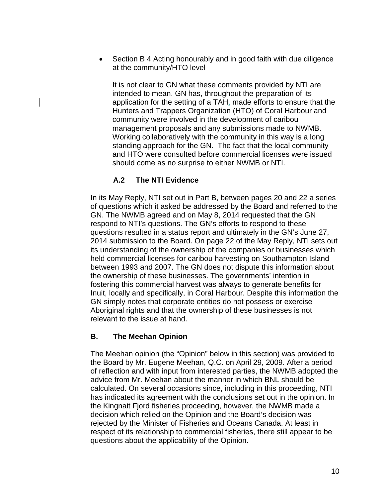• Section B 4 Acting honourably and in good faith with due diligence at the community/HTO level

It is not clear to GN what these comments provided by NTI are intended to mean. GN has, throughout the preparation of its application for the setting of a TAH, made efforts to ensure that the Hunters and Trappers Organization (HTO) of Coral Harbour and community were involved in the development of caribou management proposals and any submissions made to NWMB. Working collaboratively with the community in this way is a long standing approach for the GN. The fact that the local community and HTO were consulted before commercial licenses were issued should come as no surprise to either NWMB or NTI.

### **A.2 The NTI Evidence**

In its May Reply, NTI set out in Part B, between pages 20 and 22 a series of questions which it asked be addressed by the Board and referred to the GN. The NWMB agreed and on May 8, 2014 requested that the GN respond to NTI's questions. The GN's efforts to respond to these questions resulted in a status report and ultimately in the GN's June 27, 2014 submission to the Board. On page 22 of the May Reply, NTI sets out its understanding of the ownership of the companies or businesses which held commercial licenses for caribou harvesting on Southampton Island between 1993 and 2007. The GN does not dispute this information about the ownership of these businesses. The governments' intention in fostering this commercial harvest was always to generate benefits for Inuit, locally and specifically, in Coral Harbour. Despite this information the GN simply notes that corporate entities do not possess or exercise Aboriginal rights and that the ownership of these businesses is not relevant to the issue at hand.

### **B. The Meehan Opinion**

The Meehan opinion (the "Opinion" below in this section) was provided to the Board by Mr. Eugene Meehan, Q.C. on April 29, 2009. After a period of reflection and with input from interested parties, the NWMB adopted the advice from Mr. Meehan about the manner in which BNL should be calculated. On several occasions since, including in this proceeding, NTI has indicated its agreement with the conclusions set out in the opinion. In the Kingnait Fjord fisheries proceeding, however, the NWMB made a decision which relied on the Opinion and the Board's decision was rejected by the Minister of Fisheries and Oceans Canada. At least in respect of its relationship to commercial fisheries, there still appear to be questions about the applicability of the Opinion.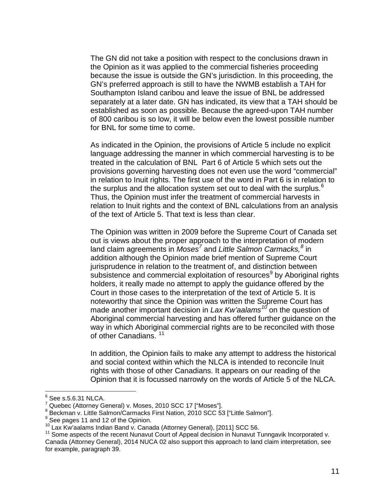The GN did not take a position with respect to the conclusions drawn in the Opinion as it was applied to the commercial fisheries proceeding because the issue is outside the GN's jurisdiction. In this proceeding, the GN's preferred approach is still to have the NWMB establish a TAH for Southampton Island caribou and leave the issue of BNL be addressed separately at a later date. GN has indicated, its view that a TAH should be established as soon as possible. Because the agreed-upon TAH number of 800 caribou is so low, it will be below even the lowest possible number for BNL for some time to come.

As indicated in the Opinion, the provisions of Article 5 include no explicit language addressing the manner in which commercial harvesting is to be treated in the calculation of BNL Part 6 of Article 5 which sets out the provisions governing harvesting does not even use the word "commercial" in relation to Inuit rights. The first use of the word in Part 6 is in relation to the surplus and the allocation system set out to deal with the surplus.<sup>[6](#page-8-0)</sup> Thus, the Opinion must infer the treatment of commercial harvests in relation to Inuit rights and the context of BNL calculations from an analysis of the text of Article 5. That text is less than clear.

The Opinion was written in 2009 before the Supreme Court of Canada set out is views about the proper approach to the interpretation of modern land claim agreements in *Moses[7](#page-12-0)* and *Little Salmon Carmacks, [8](#page-12-1)* in addition although the Opinion made brief mention of Supreme Court jurisprudence in relation to the treatment of, and distinction between subsistence and commercial exploitation of resources<sup>[9](#page-12-2)</sup> by Aboriginal rights holders, it really made no attempt to apply the guidance offered by the Court in those cases to the interpretation of the text of Article 5. It is noteworthy that since the Opinion was written the Supreme Court has made another important decision in *Lax Kw'aalams[10](#page-12-3)* on the question of Aboriginal commercial harvesting and has offered further guidance on the way in which Aboriginal commercial rights are to be reconciled with those of other Canadians.<sup>[11](#page-12-4)</sup>

In addition, the Opinion fails to make any attempt to address the historical and social context within which the NLCA is intended to reconcile Inuit rights with those of other Canadians. It appears on our reading of the Opinion that it is focussed narrowly on the words of Article 5 of the NLCA.

<span id="page-12-1"></span><span id="page-12-0"></span>

<sup>&</sup>lt;sup>6</sup> See s.5.6.31 NLCA.<br><sup>7</sup> Quebec (Attorney General) v. Moses, 2010 SCC 17 ["Moses"].<br><sup>8</sup> Beckman v. Little Salmon/Carmacks First Nation, 2010 SCC 53 ["Little Salmon"].<br><sup>9</sup> See pages 11 and 12 of the Opinion.<br><sup>10</sup> Lax Kw'

<span id="page-12-2"></span>

<span id="page-12-3"></span>

<span id="page-12-4"></span> $11$  Some aspects of the recent Nunavut Court of Appeal decision in Nunavut Tunngavik Incorporated v. Canada (Attorney General), 2014 NUCA 02 also support this approach to land claim interpretation, see for example, paragraph 39.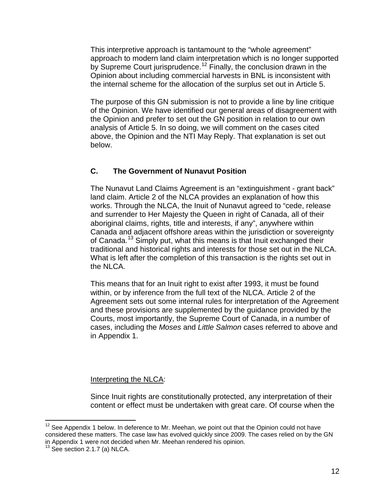This interpretive approach is tantamount to the "whole agreement" approach to modern land claim interpretation which is no longer supported by Supreme Court jurisprudence.<sup>[12](#page-12-3)</sup> Finally, the conclusion drawn in the Opinion about including commercial harvests in BNL is inconsistent with the internal scheme for the allocation of the surplus set out in Article 5.

The purpose of this GN submission is not to provide a line by line critique of the Opinion. We have identified our general areas of disagreement with the Opinion and prefer to set out the GN position in relation to our own analysis of Article 5. In so doing, we will comment on the cases cited above, the Opinion and the NTI May Reply. That explanation is set out below.

### **C. The Government of Nunavut Position**

The Nunavut Land Claims Agreement is an "extinguishment - grant back" land claim. Article 2 of the NLCA provides an explanation of how this works. Through the NLCA, the Inuit of Nunavut agreed to "cede, release and surrender to Her Majesty the Queen in right of Canada, all of their aboriginal claims, rights, title and interests, if any", anywhere within Canada and adjacent offshore areas within the jurisdiction or sovereignty of Canada.[13](#page-13-0) Simply put, what this means is that Inuit exchanged their traditional and historical rights and interests for those set out in the NLCA. What is left after the completion of this transaction is the rights set out in the NLCA.

This means that for an Inuit right to exist after 1993, it must be found within, or by inference from the full text of the NLCA. Article 2 of the Agreement sets out some internal rules for interpretation of the Agreement and these provisions are supplemented by the guidance provided by the Courts, most importantly, the Supreme Court of Canada, in a number of cases, including the *Moses* and *Little Salmon* cases referred to above and in Appendix 1.

#### Interpreting the NLCA:

Since Inuit rights are constitutionally protected, any interpretation of their content or effect must be undertaken with great care. Of course when the

<span id="page-13-1"></span> $12$  See Appendix 1 below. In deference to Mr. Meehan, we point out that the Opinion could not have considered these matters. The case law has evolved quickly since 2009. The cases relied on by the GN in Appendix 1 were not decided when Mr. Meehan rendered his opinion.

<span id="page-13-0"></span> $13$  See section 2.1.7 (a) NLCA.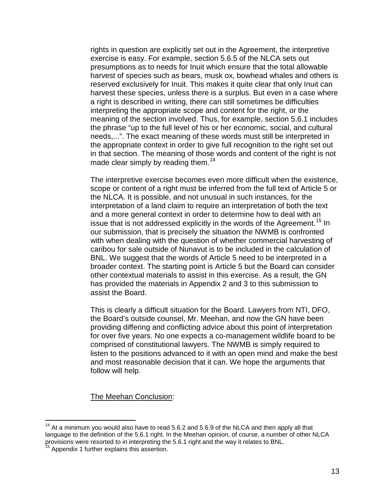rights in question are explicitly set out in the Agreement, the interpretive exercise is easy. For example, section 5.6.5 of the NLCA sets out presumptions as to needs for Inuit which ensure that the total allowable harvest of species such as bears, musk ox, bowhead whales and others is reserved exclusively for Inuit. This makes it quite clear that only Inuit can harvest these species, unless there is a surplus. But even in a case where a right is described in writing, there can still sometimes be difficulties interpreting the appropriate scope and content for the right, or the meaning of the section involved. Thus, for example, section 5.6.1 includes the phrase "up to the full level of his or her economic, social, and cultural needs,...". The exact meaning of these words must still be interpreted in the appropriate context in order to give full recognition to the right set out in that section. The meaning of those words and content of the right is not made clear simply by reading them.<sup>[14](#page-13-1)</sup>

The interpretive exercise becomes even more difficult when the existence, scope or content of a right must be inferred from the full text of Article 5 or the NLCA. It is possible, and not unusual in such instances, for the interpretation of a land claim to require an interpretation of both the text and a more general context in order to determine how to deal with an issue that is not addressed explicitly in the words of the Agreement.<sup>[15](#page-14-0)</sup> In our submission, that is precisely the situation the NWMB is confronted with when dealing with the question of whether commercial harvesting of caribou for sale outside of Nunavut is to be included in the calculation of BNL. We suggest that the words of Article 5 need to be interpreted in a broader context. The starting point is Article 5 but the Board can consider other contextual materials to assist in this exercise. As a result, the GN has provided the materials in Appendix 2 and 3 to this submission to assist the Board.

This is clearly a difficult situation for the Board. Lawyers from NTI, DFO, the Board's outside counsel, Mr. Meehan, and now the GN have been providing differing and conflicting advice about this point of interpretation for over five years. No one expects a co-management wildlife board to be comprised of constitutional lawyers. The NWMB is simply required to listen to the positions advanced to it with an open mind and make the best and most reasonable decision that it can. We hope the arguments that follow will help.

The Meehan Conclusion:

 $14$  At a minimum you would also have to read 5.6.2 and 5.6.9 of the NLCA and then apply all that language to the definition of the 5.6.1 right. In the Meehan opinion, of course, a number of other NLCA provisions were resorted to in interpreting the 5.6.1 right and the way it relates to BNL.<br><sup>15</sup> Appendix 1 further explains this assertion.

<span id="page-14-0"></span>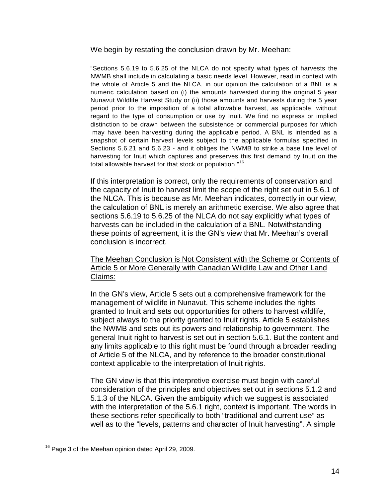We begin by restating the conclusion drawn by Mr. Meehan:

"Sections 5.6.19 to 5.6.25 of the NLCA do not specify what types of harvests the NWMB shall include in calculating a basic needs level. However, read in context with the whole of Article 5 and the NLCA, in our opinion the calculation of a BNL is a numeric calculation based on (i) the amounts harvested during the original 5 year Nunavut Wildlife Harvest Study or (ii) those amounts and harvests during the 5 year period prior to the imposition of a total allowable harvest, as applicable, without regard to the type of consumption or use by Inuit. We find no express or implied distinction to be drawn between the subsistence or commercial purposes for which may have been harvesting during the applicable period. A BNL is intended as a snapshot of certain harvest levels subject to the applicable formulas specified in Sections 5.6.21 and 5.6.23 - and it obliges the NWMB to strike a base line level of harvesting for Inuit which captures and preserves this first demand by Inuit on the total allowable harvest for that stock or population."<sup>[16](#page-14-0)</sup>

If this interpretation is correct, only the requirements of conservation and the capacity of Inuit to harvest limit the scope of the right set out in 5.6.1 of the NLCA. This is because as Mr. Meehan indicates, correctly in our view, the calculation of BNL is merely an arithmetic exercise. We also agree that sections 5.6.19 to 5.6.25 of the NLCA do not say explicitly what types of harvests can be included in the calculation of a BNL. Notwithstanding these points of agreement, it is the GN's view that Mr. Meehan's overall conclusion is incorrect.

The Meehan Conclusion is Not Consistent with the Scheme or Contents of Article 5 or More Generally with Canadian Wildlife Law and Other Land Claims:

In the GN's view, Article 5 sets out a comprehensive framework for the management of wildlife in Nunavut. This scheme includes the rights granted to Inuit and sets out opportunities for others to harvest wildlife, subject always to the priority granted to Inuit rights. Article 5 establishes the NWMB and sets out its powers and relationship to government. The general Inuit right to harvest is set out in section 5.6.1. But the content and any limits applicable to this right must be found through a broader reading of Article 5 of the NLCA, and by reference to the broader constitutional context applicable to the interpretation of Inuit rights.

The GN view is that this interpretive exercise must begin with careful consideration of the principles and objectives set out in sections 5.1.2 and 5.1.3 of the NLCA. Given the ambiguity which we suggest is associated with the interpretation of the 5.6.1 right, context is important. The words in these sections refer specifically to both "traditional and current use" as well as to the "levels, patterns and character of Inuit harvesting". A simple

<span id="page-15-0"></span><sup>&</sup>lt;sup>16</sup> Page 3 of the Meehan opinion dated April 29, 2009.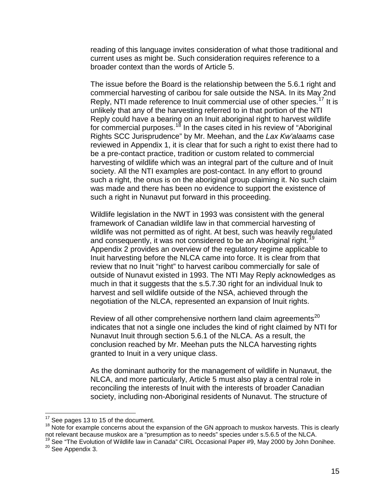reading of this language invites consideration of what those traditional and current uses as might be. Such consideration requires reference to a broader context than the words of Article 5.

The issue before the Board is the relationship between the 5.6.1 right and commercial harvesting of caribou for sale outside the NSA. In its May 2nd Reply, NTI made reference to Inuit commercial use of other species.<sup>[17](#page-15-0)</sup> It is unlikely that any of the harvesting referred to in that portion of the NTI Reply could have a bearing on an Inuit aboriginal right to harvest wildlife for commercial purposes.<sup>[18](#page-16-0)</sup> In the cases cited in his review of "Aboriginal Rights SCC Jurisprudence" by Mr. Meehan, and the *Lax Kw'alaams* case reviewed in Appendix 1, it is clear that for such a right to exist there had to be a pre-contact practice, tradition or custom related to commercial harvesting of wildlife which was an integral part of the culture and of Inuit society. All the NTI examples are post-contact. In any effort to ground such a right, the onus is on the aboriginal group claiming it. No such claim was made and there has been no evidence to support the existence of such a right in Nunavut put forward in this proceeding.

Wildlife legislation in the NWT in 1993 was consistent with the general framework of Canadian wildlife law in that commercial harvesting of wildlife was not permitted as of right. At best, such was heavily regulated and consequently, it was not considered to be an Aboriginal right.<sup>[19](#page-16-1)</sup> Appendix 2 provides an overview of the regulatory regime applicable to Inuit harvesting before the NLCA came into force. It is clear from that review that no Inuit "right" to harvest caribou commercially for sale of outside of Nunavut existed in 1993. The NTI May Reply acknowledges as much in that it suggests that the s.5.7.30 right for an individual Inuk to harvest and sell wildlife outside of the NSA, achieved through the negotiation of the NLCA, represented an expansion of Inuit rights.

Review of all other comprehensive northern land claim agreements<sup>[20](#page-16-2)</sup> indicates that not a single one includes the kind of right claimed by NTI for Nunavut Inuit through section 5.6.1 of the NLCA. As a result, the conclusion reached by Mr. Meehan puts the NLCA harvesting rights granted to Inuit in a very unique class.

As the dominant authority for the management of wildlife in Nunavut, the NLCA, and more particularly, Article 5 must also play a central role in reconciling the interests of Inuit with the interests of broader Canadian society, including non-Aboriginal residents of Nunavut. The structure of

<span id="page-16-3"></span><span id="page-16-0"></span><sup>17</sup> See pages 13 to 15 of the document.<br><sup>18</sup> Note for example concerns about the expansion of the GN approach to muskox harvests. This is clearly not relevant because muskox are a "presumption as to needs" species under s.5.6.5 of the NLCA.

<span id="page-16-1"></span><sup>19</sup> See "The Evolution of Wildlife law in Canada" CIRL Occasional Paper #9, May 2000 by John Donihee.<br><sup>20</sup> See Appendix 3.

<span id="page-16-2"></span>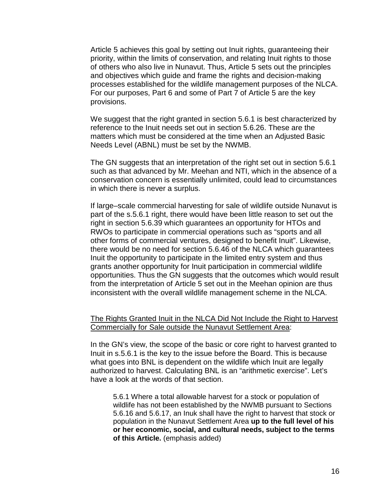Article 5 achieves this goal by setting out Inuit rights, guaranteeing their priority, within the limits of conservation, and relating Inuit rights to those of others who also live in Nunavut. Thus, Article 5 sets out the principles and objectives which guide and frame the rights and decision-making processes established for the wildlife management purposes of the NLCA. For our purposes, Part 6 and some of Part 7 of Article 5 are the key provisions.

We suggest that the right granted in section 5.6.1 is best characterized by reference to the Inuit needs set out in section 5.6.26. These are the matters which must be considered at the time when an Adjusted Basic Needs Level (ABNL) must be set by the NWMB.

The GN suggests that an interpretation of the right set out in section 5.6.1 such as that advanced by Mr. Meehan and NTI, which in the absence of a conservation concern is essentially unlimited, could lead to circumstances in which there is never a surplus.

If large–scale commercial harvesting for sale of wildlife outside Nunavut is part of the s.5.6.1 right, there would have been little reason to set out the right in section 5.6.39 which guarantees an opportunity for HTOs and RWOs to participate in commercial operations such as "sports and all other forms of commercial ventures, designed to benefit Inuit". Likewise, there would be no need for section 5.6.46 of the NLCA which guarantees Inuit the opportunity to participate in the limited entry system and thus grants another opportunity for Inuit participation in commercial wildlife opportunities. Thus the GN suggests that the outcomes which would result from the interpretation of Article 5 set out in the Meehan opinion are thus inconsistent with the overall wildlife management scheme in the NLCA.

#### The Rights Granted Inuit in the NLCA Did Not Include the Right to Harvest Commercially for Sale outside the Nunavut Settlement Area:

In the GN's view, the scope of the basic or core right to harvest granted to Inuit in s.5.6.1 is the key to the issue before the Board. This is because what goes into BNL is dependent on the wildlife which Inuit are legally authorized to harvest. Calculating BNL is an "arithmetic exercise". Let's have a look at the words of that section.

5.6.1 Where a total allowable harvest for a stock or population of wildlife has not been established by the NWMB pursuant to Sections 5.6.16 and 5.6.17, an Inuk shall have the right to harvest that stock or population in the Nunavut Settlement Area **up to the full level of his or her economic, social, and cultural needs, subject to the terms of this Article.** (emphasis added)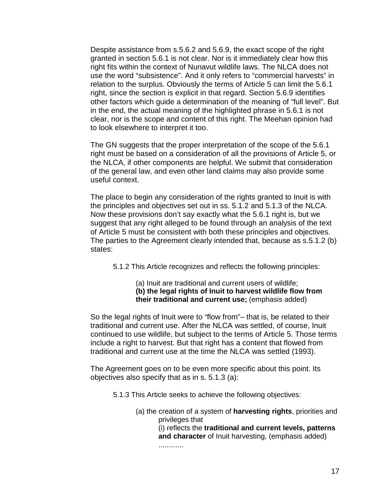Despite assistance from s.5.6.2 and 5.6.9, the exact scope of the right granted in section 5.6.1 is not clear. Nor is it immediately clear how this right fits within the context of Nunavut wildlife laws. The NLCA does not use the word "subsistence". And it only refers to "commercial harvests" in relation to the surplus. Obviously the terms of Article 5 can limit the 5.6.1 right, since the section is explicit in that regard. Section 5.6.9 identifies other factors which guide a determination of the meaning of "full level". But in the end, the actual meaning of the highlighted phrase in 5.6.1 is not clear, nor is the scope and content of this right. The Meehan opinion had to look elsewhere to interpret it too.

The GN suggests that the proper interpretation of the scope of the 5.6.1 right must be based on a consideration of all the provisions of Article 5, or the NLCA, if other components are helpful. We submit that consideration of the general law, and even other land claims may also provide some useful context.

The place to begin any consideration of the rights granted to Inuit is with the principles and objectives set out in ss. 5.1.2 and 5.1.3 of the NLCA. Now these provisions don't say exactly what the 5.6.1 right is, but we suggest that any right alleged to be found through an analysis of the text of Article 5 must be consistent with both these principles and objectives. The parties to the Agreement clearly intended that, because as s.5.1.2 (b) states:

5.1.2 This Article recognizes and reflects the following principles:

(a) Inuit are traditional and current users of wildlife; **(b) the legal rights of Inuit to harvest wildlife flow from their traditional and current use;** (emphasis added)

So the legal rights of Inuit were to "flow from"– that is, be related to their traditional and current use. After the NLCA was settled, of course, Inuit continued to use wildlife, but subject to the terms of Article 5. Those terms include a right to harvest. But that right has a content that flowed from traditional and current use at the time the NLCA was settled (1993).

The Agreement goes on to be even more specific about this point. Its objectives also specify that as in s. 5.1.3 (a):

- 5.1.3 This Article seeks to achieve the following objectives:
	- (a) the creation of a system of **harvesting rights**, priorities and privileges that

(i) reflects the **traditional and current levels, patterns and character** of Inuit harvesting, (emphasis added)

............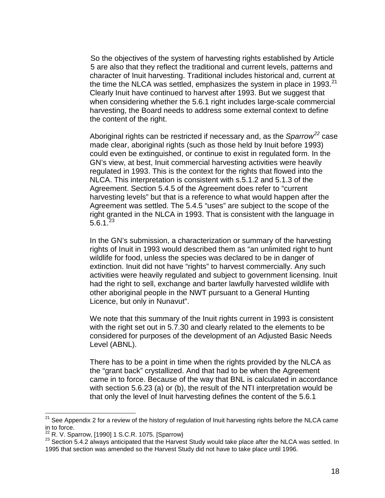So the objectives of the system of harvesting rights established by Article 5 are also that they reflect the traditional and current levels, patterns and character of Inuit harvesting. Traditional includes historical and, current at the time the NLCA was settled, emphasizes the system in place in 1993. $^{21}$  $^{21}$  $^{21}$ Clearly Inuit have continued to harvest after 1993. But we suggest that when considering whether the 5.6.1 right includes large-scale commercial harvesting, the Board needs to address some external context to define the content of the right.

Aboriginal rights can be restricted if necessary and, as the *Sparrow[22](#page-19-0)* case made clear, aboriginal rights (such as those held by Inuit before 1993) could even be extinguished, or continue to exist in regulated form. In the GN's view, at best, Inuit commercial harvesting activities were heavily regulated in 1993. This is the context for the rights that flowed into the NLCA. This interpretation is consistent with s.5.1.2 and 5.1.3 of the Agreement. Section 5.4.5 of the Agreement does refer to "current harvesting levels" but that is a reference to what would happen after the Agreement was settled. The 5.4.5 "uses" are subject to the scope of the right granted in the NLCA in 1993. That is consistent with the language in  $5.6.1<sup>23</sup>$  $5.6.1<sup>23</sup>$  $5.6.1<sup>23</sup>$ 

In the GN's submission, a characterization or summary of the harvesting rights of Inuit in 1993 would described them as "an unlimited right to hunt wildlife for food, unless the species was declared to be in danger of extinction. Inuit did not have "rights" to harvest commercially. Any such activities were heavily regulated and subject to government licensing. Inuit had the right to sell, exchange and barter lawfully harvested wildlife with other aboriginal people in the NWT pursuant to a General Hunting Licence, but only in Nunavut".

We note that this summary of the Inuit rights current in 1993 is consistent with the right set out in 5.7.30 and clearly related to the elements to be considered for purposes of the development of an Adjusted Basic Needs Level (ABNL).

There has to be a point in time when the rights provided by the NLCA as the "grant back" crystallized. And that had to be when the Agreement came in to force. Because of the way that BNL is calculated in accordance with section 5.6.23 (a) or (b), the result of the NTI interpretation would be that only the level of Inuit harvesting defines the content of the 5.6.1

<sup>&</sup>lt;sup>21</sup> See Appendix 2 for a review of the history of regulation of Inuit harvesting rights before the NLCA came in to force.<br> $^{22}$  R. V. Sparrow, [1990] 1 S.C.R. 1075. [Sparrow}

<span id="page-19-2"></span><span id="page-19-1"></span><span id="page-19-0"></span><sup>&</sup>lt;sup>23</sup> Section 5.4.2 always anticipated that the Harvest Study would take place after the NLCA was settled. In 1995 that section was amended so the Harvest Study did not have to take place until 1996.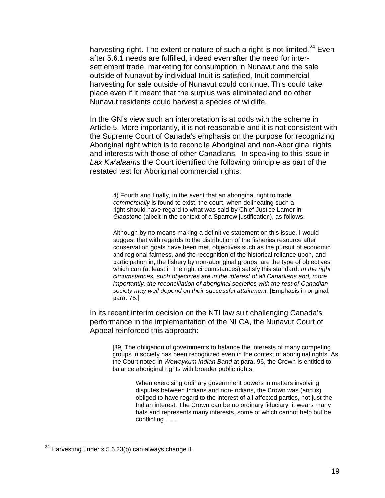harvesting right. The extent or nature of such a right is not limited.<sup>[24](#page-19-2)</sup> Even after 5.6.1 needs are fulfilled, indeed even after the need for intersettlement trade, marketing for consumption in Nunavut and the sale outside of Nunavut by individual Inuit is satisfied, Inuit commercial harvesting for sale outside of Nunavut could continue. This could take place even if it meant that the surplus was eliminated and no other Nunavut residents could harvest a species of wildlife.

In the GN's view such an interpretation is at odds with the scheme in Article 5. More importantly, it is not reasonable and it is not consistent with the Supreme Court of Canada's emphasis on the purpose for recognizing Aboriginal right which is to reconcile Aboriginal and non-Aboriginal rights and interests with those of other Canadians. In speaking to this issue in *Lax Kw'alaams* the Court identified the following principle as part of the restated test for Aboriginal commercial rights:

4) Fourth and finally, in the event that an aboriginal right to trade *commercially* is found to exist, the court, when delineating such a right should have regard to what was said by Chief Justice Lamer in *Gladstone* (albeit in the context of a Sparrow justification), as follows:

Although by no means making a definitive statement on this issue, I would suggest that with regards to the distribution of the fisheries resource after conservation goals have been met, objectives such as the pursuit of economic and regional fairness, and the recognition of the historical reliance upon, and participation in, the fishery by non-aboriginal groups, are the type of objectives which can (at least in the right circumstances) satisfy this standard. *In the right circumstances, such objectives are in the interest of all Canadians and, more importantly, the reconciliation of aboriginal societies with the rest of Canadian society may well depend on their successful attainment.* [Emphasis in original; para. 75.]

In its recent interim decision on the NTI law suit challenging Canada's performance in the implementation of the NLCA, the Nunavut Court of Appeal reinforced this approach:

[39] The obligation of governments to balance the interests of many competing groups in society has been recognized even in the context of aboriginal rights. As the Court noted in *Wewaykum Indian Band* at para. 96, the Crown is entitled to balance aboriginal rights with broader public rights:

> When exercising ordinary government powers in matters involving disputes between Indians and non-Indians, the Crown was (and is) obliged to have regard to the interest of all affected parties, not just the Indian interest. The Crown can be no ordinary fiduciary; it wears many hats and represents many interests, some of which cannot help but be conflicting. . . .

<span id="page-20-0"></span> $24$  Harvesting under s.5.6.23(b) can always change it.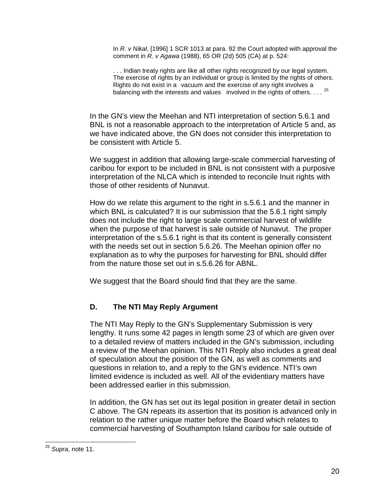In *R. v Nikal*, [1996] 1 SCR 1013 at para. 92 the Court adopted with approval the comment in *R. v Agawa* (1988), 65 OR (2d) 505 (CA) at p. 524:

. . . Indian treaty rights are like all other rights recognized by our legal system. The exercise of rights by an individual or group is limited by the rights of others. Rights do not exist in a vacuum and the exercise of any right involves a balancing with the interests and values involved in the rights of others. . . . <sup>[25](#page-20-0)</sup>

In the GN's view the Meehan and NTI interpretation of section 5.6.1 and BNL is not a reasonable approach to the interpretation of Article 5 and, as we have indicated above, the GN does not consider this interpretation to be consistent with Article 5.

We suggest in addition that allowing large-scale commercial harvesting of caribou for export to be included in BNL is not consistent with a purposive interpretation of the NLCA which is intended to reconcile Inuit rights with those of other residents of Nunavut.

How do we relate this argument to the right in s.5.6.1 and the manner in which BNL is calculated? It is our submission that the 5.6.1 right simply does not include the right to large scale commercial harvest of wildlife when the purpose of that harvest is sale outside of Nunavut. The proper interpretation of the s.5.6.1 right is that its content is generally consistent with the needs set out in section 5.6.26. The Meehan opinion offer no explanation as to why the purposes for harvesting for BNL should differ from the nature those set out in s.5.6.26 for ABNL.

We suggest that the Board should find that they are the same.

# **D. The NTI May Reply Argument**

The NTI May Reply to the GN's Supplementary Submission is very lengthy. It runs some 42 pages in length some 23 of which are given over to a detailed review of matters included in the GN's submission, including a review of the Meehan opinion. This NTI Reply also includes a great deal of speculation about the position of the GN, as well as comments and questions in relation to, and a reply to the GN's evidence. NTI's own limited evidence is included as well. All of the evidentiary matters have been addressed earlier in this submission.

In addition, the GN has set out its legal position in greater detail in section C above. The GN repeats its assertion that its position is advanced only in relation to the rather unique matter before the Board which relates to commercial harvesting of Southampton Island caribou for sale outside of

<span id="page-21-0"></span> <sup>25</sup> *Supra*, note 11.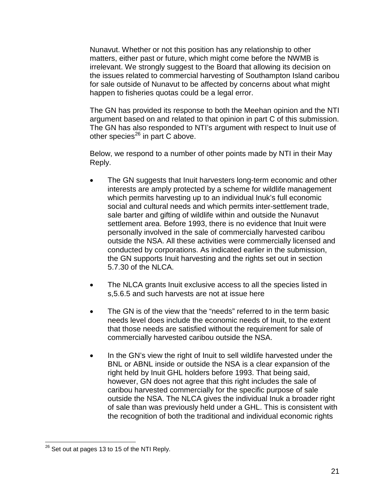Nunavut. Whether or not this position has any relationship to other matters, either past or future, which might come before the NWMB is irrelevant. We strongly suggest to the Board that allowing its decision on the issues related to commercial harvesting of Southampton Island caribou for sale outside of Nunavut to be affected by concerns about what might happen to fisheries quotas could be a legal error.

The GN has provided its response to both the Meehan opinion and the NTI argument based on and related to that opinion in part C of this submission. The GN has also responded to NTI's argument with respect to Inuit use of other species<sup>[26](#page-21-0)</sup> in part C above.

Below, we respond to a number of other points made by NTI in their May Reply.

- The GN suggests that Inuit harvesters long-term economic and other interests are amply protected by a scheme for wildlife management which permits harvesting up to an individual Inuk's full economic social and cultural needs and which permits inter-settlement trade, sale barter and gifting of wildlife within and outside the Nunavut settlement area. Before 1993, there is no evidence that Inuit were personally involved in the sale of commercially harvested caribou outside the NSA. All these activities were commercially licensed and conducted by corporations. As indicated earlier in the submission, the GN supports Inuit harvesting and the rights set out in section 5.7.30 of the NLCA.
- The NLCA grants Inuit exclusive access to all the species listed in s,5.6.5 and such harvests are not at issue here
- The GN is of the view that the "needs" referred to in the term basic needs level does include the economic needs of Inuit, to the extent that those needs are satisfied without the requirement for sale of commercially harvested caribou outside the NSA.
- In the GN's view the right of Inuit to sell wildlife harvested under the BNL or ABNL inside or outside the NSA is a clear expansion of the right held by Inuit GHL holders before 1993. That being said, however, GN does not agree that this right includes the sale of caribou harvested commercially for the specific purpose of sale outside the NSA. The NLCA gives the individual Inuk a broader right of sale than was previously held under a GHL. This is consistent with the recognition of both the traditional and individual economic rights

<span id="page-22-0"></span> $26$  Set out at pages 13 to 15 of the NTI Reply.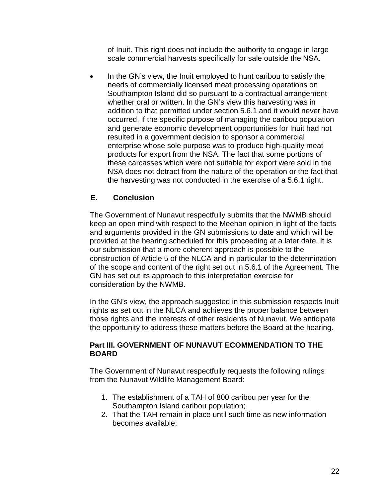of Inuit. This right does not include the authority to engage in large scale commercial harvests specifically for sale outside the NSA.

• In the GN's view, the Inuit employed to hunt caribou to satisfy the needs of commercially licensed meat processing operations on Southampton Island did so pursuant to a contractual arrangement whether oral or written. In the GN's view this harvesting was in addition to that permitted under section 5.6.1 and it would never have occurred, if the specific purpose of managing the caribou population and generate economic development opportunities for Inuit had not resulted in a government decision to sponsor a commercial enterprise whose sole purpose was to produce high-quality meat products for export from the NSA. The fact that some portions of these carcasses which were not suitable for export were sold in the NSA does not detract from the nature of the operation or the fact that the harvesting was not conducted in the exercise of a 5.6.1 right.

### **E. Conclusion**

The Government of Nunavut respectfully submits that the NWMB should keep an open mind with respect to the Meehan opinion in light of the facts and arguments provided in the GN submissions to date and which will be provided at the hearing scheduled for this proceeding at a later date. It is our submission that a more coherent approach is possible to the construction of Article 5 of the NLCA and in particular to the determination of the scope and content of the right set out in 5.6.1 of the Agreement. The GN has set out its approach to this interpretation exercise for consideration by the NWMB.

In the GN's view, the approach suggested in this submission respects Inuit rights as set out in the NLCA and achieves the proper balance between those rights and the interests of other residents of Nunavut. We anticipate the opportunity to address these matters before the Board at the hearing.

#### **Part III. GOVERNMENT OF NUNAVUT ECOMMENDATION TO THE BOARD**

The Government of Nunavut respectfully requests the following rulings from the Nunavut Wildlife Management Board:

- 1. The establishment of a TAH of 800 caribou per year for the Southampton Island caribou population;
- 2. That the TAH remain in place until such time as new information becomes available;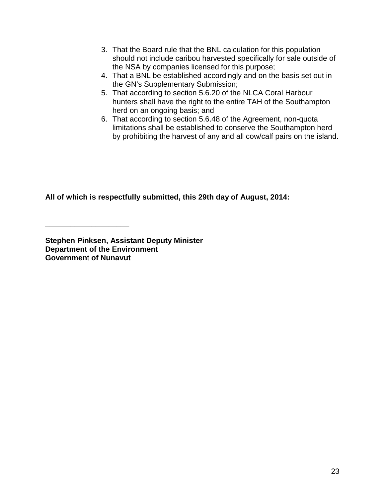- 3. That the Board rule that the BNL calculation for this population should not include caribou harvested specifically for sale outside of the NSA by companies licensed for this purpose;
- 4. That a BNL be established accordingly and on the basis set out in the GN's Supplementary Submission;
- 5. That according to section 5.6.20 of the NLCA Coral Harbour hunters shall have the right to the entire TAH of the Southampton herd on an ongoing basis; and
- 6. That according to section 5.6.48 of the Agreement, non-quota limitations shall be established to conserve the Southampton herd by prohibiting the harvest of any and all cow/calf pairs on the island.

**All of which is respectfully submitted, this 29th day of August, 2014:**

**Stephen Pinksen, Assistant Deputy Minister Department of the Environment Governmen**t **of Nunavut**

**\_\_\_\_\_\_\_\_\_\_\_\_\_\_\_\_\_\_\_\_**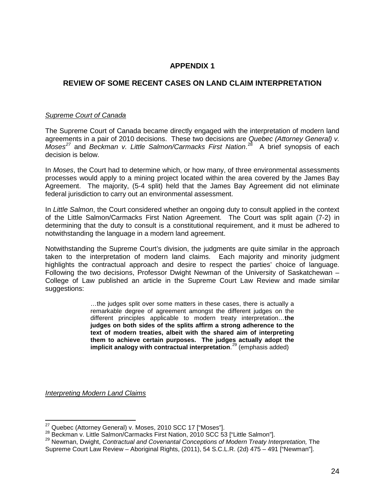### **APPENDIX 1**

### **REVIEW OF SOME RECENT CASES ON LAND CLAIM INTERPRETATION**

#### *Supreme Court of Canada*

The Supreme Court of Canada became directly engaged with the interpretation of modern land agreements in a pair of 2010 decisions. These two decisions are *Quebec (Attorney General) v. Moses[27](#page-22-0)* and *Beckman v. Little Salmon/Carmacks First Nation*. [28](#page-25-0) A brief synopsis of each decision is below.

In *Moses*, the Court had to determine which, or how many, of three environmental assessments processes would apply to a mining project located within the area covered by the James Bay Agreement. The majority, (5-4 split) held that the James Bay Agreement did not eliminate federal jurisdiction to carry out an environmental assessment.

In *Little Salmon*, the Court considered whether an ongoing duty to consult applied in the context of the Little Salmon/Carmacks First Nation Agreement. The Court was split again (7-2) in determining that the duty to consult is a constitutional requirement, and it must be adhered to notwithstanding the language in a modern land agreement.

Notwithstanding the Supreme Court's division, the judgments are quite similar in the approach taken to the interpretation of modern land claims. Each majority and minority judgment highlights the contractual approach and desire to respect the parties' choice of language. Following the two decisions, Professor Dwight Newman of the University of Saskatchewan – College of Law published an article in the Supreme Court Law Review and made similar suggestions:

> …the judges split over some matters in these cases, there is actually a remarkable degree of agreement amongst the different judges on the different principles applicable to modern treaty interpretation…**the judges on both sides of the splits affirm a strong adherence to the text of modern treaties, albeit with the shared aim of interpreting them to achieve certain purposes. The judges actually adopt the implicit analogy with contractual interpretation**. [29](#page-25-1) (emphasis added)

*Interpreting Modern Land Claims*

<span id="page-25-1"></span>

<span id="page-25-2"></span><span id="page-25-0"></span><sup>&</sup>lt;sup>27</sup> Quebec (Attorney General) v. Moses, 2010 SCC 17 ["Moses"].<br><sup>28</sup> Beckman v. Little Salmon/Carmacks First Nation, 2010 SCC 53 ["Little Salmon"].<br><sup>29</sup> Newman. Dwight, *Contractual and Covenantal Conceptions of Modern Tre* Supreme Court Law Review – Aboriginal Rights, (2011), 54 S.C.L.R. (2d) 475 – 491 ["Newman"].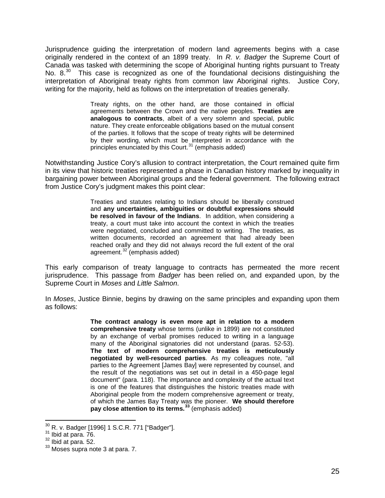Jurisprudence guiding the interpretation of modern land agreements begins with a case originally rendered in the context of an 1899 treaty. In *R. v. Badger* the Supreme Court of Canada was tasked with determining the scope of Aboriginal hunting rights pursuant to Treaty No. 8.<sup>30</sup> This case is recognized as one of the foundational decisions distinguishing the interpretation of Aboriginal treaty rights from common law Aboriginal rights. Justice Cory, writing for the majority, held as follows on the interpretation of treaties generally.

> Treaty rights, on the other hand, are those contained in official agreements between the Crown and the native peoples. **Treaties are analogous to contracts**, albeit of a very solemn and special, public nature. They create enforceable obligations based on the mutual consent of the parties. It follows that the scope of treaty rights will be determined by their wording, which must be interpreted in accordance with the principles enunciated by this Court.<sup>[31](#page-26-0)</sup> (emphasis added)

Notwithstanding Justice Cory's allusion to contract interpretation, the Court remained quite firm in its view that historic treaties represented a phase in Canadian history marked by inequality in bargaining power between Aboriginal groups and the federal government. The following extract from Justice Cory's judgment makes this point clear:

> Treaties and statutes relating to Indians should be liberally construed and **any uncertainties, ambiguities or doubtful expressions should be resolved in favour of the Indians**. In addition, when considering a treaty, a court must take into account the context in which the treaties were negotiated, concluded and committed to writing. The treaties, as written documents, recorded an agreement that had already been reached orally and they did not always record the full extent of the oral agreement.[32](#page-26-1) (emphasis added)

This early comparison of treaty language to contracts has permeated the more recent jurisprudence. This passage from *Badger* has been relied on, and expanded upon, by the Supreme Court in *Moses* and *Little Salmon*.

In *Moses*, Justice Binnie, begins by drawing on the same principles and expanding upon them as follows:

> **The contract analogy is even more apt in relation to a modern comprehensive treaty** whose terms (unlike in 1899) are not constituted by an exchange of verbal promises reduced to writing in a language many of the Aboriginal signatories did not understand (paras. 52-53). **The text of modern comprehensive treaties is meticulously negotiated by well-resourced parties**. As my colleagues note, "all parties to the Agreement [James Bay] were represented by counsel, and the result of the negotiations was set out in detail in a 450-page legal document" (para. 118). The importance and complexity of the actual text is one of the features that distinguishes the historic treaties made with Aboriginal people from the modern comprehensive agreement or treaty, of which the James Bay Treaty was the pioneer. **We should therefore pay close attention to its terms.[33](#page-26-2)** (emphasis added)

 $\frac{30}{31}$  R. v. Badger [1996] 1 S.C.R. 771 ["Badger"].<br> $\frac{31}{32}$  Ibid at para. 76.<br> $\frac{32}{33}$  Moses supra note 3 at para. 7.

<span id="page-26-0"></span>

<span id="page-26-1"></span>

<span id="page-26-2"></span>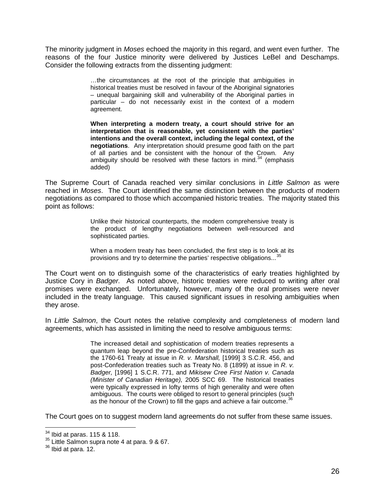The minority judgment in *Moses* echoed the majority in this regard, and went even further. The reasons of the four Justice minority were delivered by Justices LeBel and Deschamps. Consider the following extracts from the dissenting judgment:

> …the circumstances at the root of the principle that ambiguities in historical treaties must be resolved in favour of the Aboriginal signatories – unequal bargaining skill and vulnerability of the Aboriginal parties in particular – do not necessarily exist in the context of a modern agreement.

> **When interpreting a modern treaty, a court should strive for an interpretation that is reasonable, yet consistent with the parties' intentions and the overall context, including the legal context, of the negotiations**. Any interpretation should presume good faith on the part of all parties and be consistent with the honour of the Crown. Any ambiguity should be resolved with these factors in mind. $34$  (emphasis added)

The Supreme Court of Canada reached very similar conclusions in *Little Salmon* as were reached in *Moses*. The Court identified the same distinction between the products of modern negotiations as compared to those which accompanied historic treaties. The majority stated this point as follows:

> Unlike their historical counterparts, the modern comprehensive treaty is the product of lengthy negotiations between well-resourced and sophisticated parties.

> When a modern treaty has been concluded, the first step is to look at its provisions and try to determine the parties' respective obligations...<sup>[35](#page-27-0)</sup>

The Court went on to distinguish some of the characteristics of early treaties highlighted by Justice Cory in *Badger.* As noted above, historic treaties were reduced to writing after oral promises were exchanged. Unfortunately, however, many of the oral promises were never included in the treaty language. This caused significant issues in resolving ambiguities when they arose.

In *Little Salmon*, the Court notes the relative complexity and completeness of modern land agreements, which has assisted in limiting the need to resolve ambiguous terms:

> The increased detail and sophistication of modern treaties represents a quantum leap beyond the pre-Confederation historical treaties such as the 1760-61 Treaty at issue in *R. v. Marshall,* [1999] 3 S.C.R. 456, and post-Confederation treaties such as Treaty No. 8 (1899) at issue in *R. v. Badger,* [1996] 1 S.C.R. 771, and *Mikisew Cree First Nation v. Canada (Minister of Canadian Heritage),* 2005 SCC 69. The historical treaties were typically expressed in lofty terms of high generality and were often ambiguous. The courts were obliged to resort to general principles (such as the honour of the Crown) to fill the gaps and achieve a fair outcome.<sup>3</sup>

The Court goes on to suggest modern land agreements do not suffer from these same issues.

<span id="page-27-2"></span><span id="page-27-0"></span><sup>&</sup>lt;sup>34</sup> Ibid at paras. 115 & 118.<br><sup>35</sup> Little Salmon supra note 4 at para. 9 & 67.<br><sup>36</sup> Ibid at para. 12.

<span id="page-27-1"></span>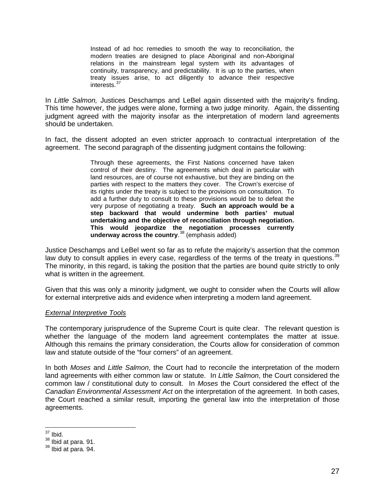Instead of ad hoc remedies to smooth the way to reconciliation, the modern treaties are designed to place Aboriginal and non-Aboriginal relations in the mainstream legal system with its advantages of continuity, transparency, and predictability. It is up to the parties, when treaty issues arise, to act diligently to advance their respective interests.<sup>3</sup>

In *Little Salmon,* Justices Deschamps and LeBel again dissented with the majority's finding. This time however, the judges were alone, forming a two judge minority. Again, the dissenting judgment agreed with the majority insofar as the interpretation of modern land agreements should be undertaken.

In fact, the dissent adopted an even stricter approach to contractual interpretation of the agreement. The second paragraph of the dissenting judgment contains the following:

> Through these agreements, the First Nations concerned have taken control of their destiny. The agreements which deal in particular with land resources, are of course not exhaustive, but they are binding on the parties with respect to the matters they cover. The Crown's exercise of its rights under the treaty is subject to the provisions on consultation. To add a further duty to consult to these provisions would be to defeat the very purpose of negotiating a treaty. **Such an approach would be a step backward that would undermine both parties' mutual undertaking and the objective of reconciliation through negotiation. This would jeopardize the negotiation processes currently underway across the country**. [38](#page-28-0) (emphasis added)

Justice Deschamps and LeBel went so far as to refute the majority's assertion that the common law duty to consult applies in every case, regardless of the terms of the treaty in questions.<sup>[39](#page-28-1)</sup> The minority, in this regard, is taking the position that the parties are bound quite strictly to only what is written in the agreement.

Given that this was only a minority judgment, we ought to consider when the Courts will allow for external interpretive aids and evidence when interpreting a modern land agreement.

#### *External Interpretive Tools*

The contemporary jurisprudence of the Supreme Court is quite clear. The relevant question is whether the language of the modern land agreement contemplates the matter at issue. Although this remains the primary consideration, the Courts allow for consideration of common law and statute outside of the "four corners" of an agreement.

In both *Moses* and *Little Salmon*, the Court had to reconcile the interpretation of the modern land agreements with either common law or statute. In *Little Salmon*, the Court considered the common law / constitutional duty to consult. In *Moses* the Court considered the effect of the *Canadian Environmental Assessment Act* on the interpretation of the agreement. In both cases, the Court reached a similar result, importing the general law into the interpretation of those agreements.

 $37$  Ibid.<br> $38$  Ibid at para. 91.

<span id="page-28-1"></span><span id="page-28-0"></span> $39$  Ibid at para. 94.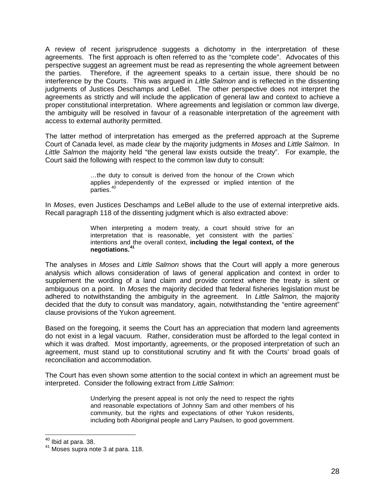A review of recent jurisprudence suggests a dichotomy in the interpretation of these agreements. The first approach is often referred to as the "complete code". Advocates of this perspective suggest an agreement must be read as representing the whole agreement between the parties. Therefore, if the agreement speaks to a certain issue, there should be no interference by the Courts. This was argued in *Little Salmon* and is reflected in the dissenting judgments of Justices Deschamps and LeBel. The other perspective does not interpret the agreements as strictly and will include the application of general law and context to achieve a proper constitutional interpretation. Where agreements and legislation or common law diverge, the ambiguity will be resolved in favour of a reasonable interpretation of the agreement with access to external authority permitted.

The latter method of interpretation has emerged as the preferred approach at the Supreme Court of Canada level, as made clear by the majority judgments in *Moses* and *Little Salmon*. In *Little Salmon* the majority held "the general law exists outside the treaty". For example, the Court said the following with respect to the common law duty to consult:

> …the duty to consult is derived from the honour of the Crown which applies independently of the expressed or implied intention of the parties.<sup>[40](#page-28-0)</sup>

In *Moses*, even Justices Deschamps and LeBel allude to the use of external interpretive aids. Recall paragraph 118 of the dissenting judgment which is also extracted above:

> When interpreting a modern treaty, a court should strive for an interpretation that is reasonable, yet consistent with the parties` intentions and the overall context, **including the legal context, of the negotiations.[41](#page-29-0)**

The analyses in *Moses* and *Little Salmon* shows that the Court will apply a more generous analysis which allows consideration of laws of general application and context in order to supplement the wording of a land claim and provide context where the treaty is silent or ambiguous on a point. In *Moses* the majority decided that federal fisheries legislation must be adhered to notwithstanding the ambiguity in the agreement. In *Little Salmon,* the majority decided that the duty to consult was mandatory, again, notwithstanding the "entire agreement" clause provisions of the Yukon agreement.

Based on the foregoing, it seems the Court has an appreciation that modern land agreements do not exist in a legal vacuum. Rather, consideration must be afforded to the legal context in which it was drafted. Most importantly, agreements, or the proposed interpretation of such an agreement, must stand up to constitutional scrutiny and fit with the Courts' broad goals of reconciliation and accommodation.

<span id="page-29-1"></span>The Court has even shown some attention to the social context in which an agreement must be interpreted. Consider the following extract from *Little Salmon*:

> Underlying the present appeal is not only the need to respect the rights and reasonable expectations of Johnny Sam and other members of his community, but the rights and expectations of other Yukon residents, including both Aboriginal people and Larry Paulsen, to good government.

<span id="page-29-0"></span> $40^{40}$  Ibid at para. 38.<br> $41^{41}$  Moses supra note 3 at para. 118.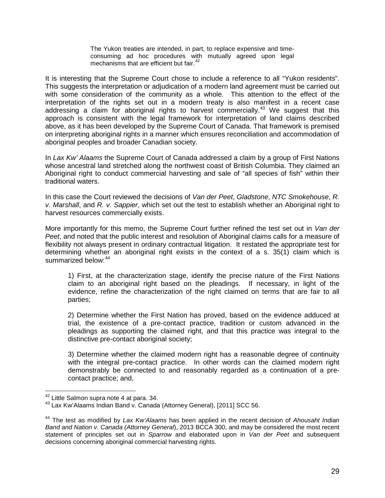The Yukon treaties are intended, in part, to replace expensive and timeconsuming ad hoc procedures with mutually agreed upon legal mechanisms that are efficient but fair.<sup>[42](#page-29-1)</sup>

It is interesting that the Supreme Court chose to include a reference to all "Yukon residents". This suggests the interpretation or adjudication of a modern land agreement must be carried out with some consideration of the community as a whole. This attention to the effect of the interpretation of the rights set out in a modern treaty is also manifest in a recent case addressing a claim for aboriginal rights to harvest commercially.<sup>[43](#page-30-0)</sup> We suggest that this approach is consistent with the legal framework for interpretation of land claims described above, as it has been developed by the Supreme Court of Canada. That framework is premised on interpreting aboriginal rights in a manner which ensures reconciliation and accommodation of aboriginal peoples and broader Canadian society.

In *Lax Kw' Alaams* the Supreme Court of Canada addressed a claim by a group of First Nations whose ancestral land stretched along the northwest coast of British Columbia. They claimed an Aboriginal right to conduct commercial harvesting and sale of "all species of fish" within their traditional waters.

In this case the Court reviewed the decisions of *Van der Peet*, *Gladstone*, *NTC Smokehouse*, *R. v. Marshall*, and *R. v. Sappier*, which set out the test to establish whether an Aboriginal right to harvest resources commercially exists.

More importantly for this memo, the Supreme Court further refined the test set out in *Van der Peet*, and noted that the public interest and resolution of Aboriginal claims calls for a measure of flexibility not always present in ordinary contractual litigation. It restated the appropriate test for determining whether an aboriginal right exists in the context of a s. 35(1) claim which is summarized below: [44](#page-30-1)

1) First, at the characterization stage, identify the precise nature of the First Nations claim to an aboriginal right based on the pleadings. If necessary, in light of the evidence, refine the characterization of the right claimed on terms that are fair to all parties;

2) Determine whether the First Nation has proved, based on the evidence adduced at trial, the existence of a pre-contact practice, tradition or custom advanced in the pleadings as supporting the claimed right, and that this practice was integral to the distinctive pre-contact aboriginal society;

3) Determine whether the claimed modern right has a reasonable degree of continuity with the integral pre-contact practice. In other words can the claimed modern right demonstrably be connected to and reasonably regarded as a continuation of a precontact practice; and,

<span id="page-30-0"></span> $^{42}$  Little Salmon supra note 4 at para. 34.<br> $^{43}$  Lax Kw'Alaams Indian Band v. Canada (Attorney General), [2011] SCC 56.

<span id="page-30-2"></span><span id="page-30-1"></span><sup>44</sup> The test as modified by *Lax Kw'Alaams* has been applied in the recent decision of *Ahousaht Indian Band and Nation v. Canada (Attorney General*), 2013 BCCA 300, and may be considered the most recent statement of principles set out in *Sparrow* and elaborated upon in *Van der Peet* and subsequent decisions concerning aboriginal commercial harvesting rights.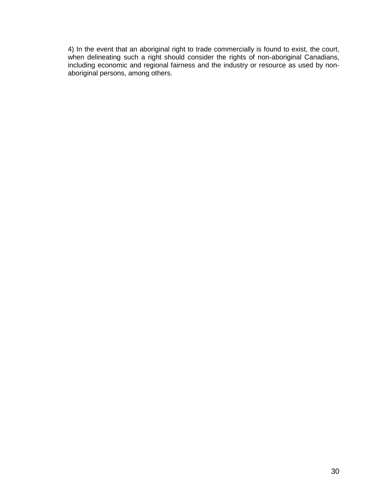4) In the event that an aboriginal right to trade commercially is found to exist, the court, when delineating such a right should consider the rights of non-aboriginal Canadians, including economic and regional fairness and the industry or resource as used by nonaboriginal persons, among others.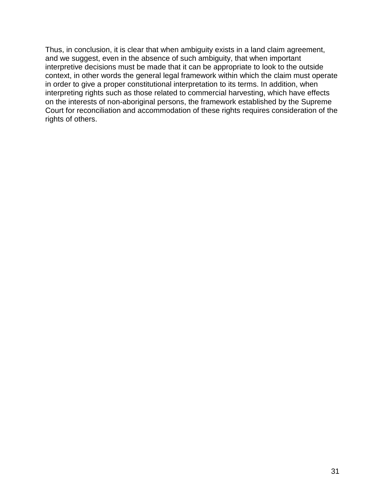Thus, in conclusion, it is clear that when ambiguity exists in a land claim agreement, and we suggest, even in the absence of such ambiguity, that when important interpretive decisions must be made that it can be appropriate to look to the outside context, in other words the general legal framework within which the claim must operate in order to give a proper constitutional interpretation to its terms. In addition, when interpreting rights such as those related to commercial harvesting, which have effects on the interests of non-aboriginal persons, the framework established by the Supreme Court for reconciliation and accommodation of these rights requires consideration of the rights of others.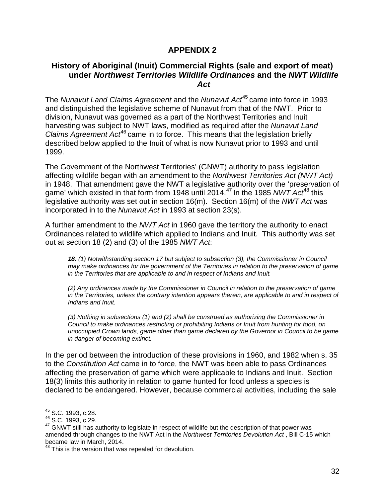### **APPENDIX 2**

#### **History of Aboriginal (Inuit) Commercial Rights (sale and export of meat) under** *Northwest Territories Wildlife Ordinances* **and the** *NWT Wildlife Act*

The *Nunavut Land Claims Agreement* and the *Nunavut Act*[45](#page-30-2) came into force in 1993 and distinguished the legislative scheme of Nunavut from that of the NWT. Prior to division, Nunavut was governed as a part of the Northwest Territories and Inuit harvesting was subject to NWT laws, modified as required after the *Nunavut Land Claims Agreement Act*[46](#page-33-0) came in to force. This means that the legislation briefly described below applied to the Inuit of what is now Nunavut prior to 1993 and until 1999.

The Government of the Northwest Territories' (GNWT) authority to pass legislation affecting wildlife began with an amendment to the *Northwest Territories Act (NWT Act)* in 1948. That amendment gave the NWT a legislative authority over the 'preservation of game' which existed in that form from 1948 until 2014.[47](#page-33-1) In the 1985 *NWT Act*[48](#page-33-2) this legislative authority was set out in section 16(m). Section 16(m) of the *NWT Act* was incorporated in to the *Nunavut Act* in 1993 at section 23(s).

A further amendment to the *NWT Act* in 1960 gave the territory the authority to enact Ordinances related to wildlife which applied to Indians and Inuit. This authority was set out at section 18 (2) and (3) of the 1985 *NWT Act*:

*18. (1) Notwithstanding section 17 but subject to subsection (3), the Commissioner in Council may make ordinances for the government of the Territories in relation to the preservation of game in the Territories that are applicable to and in respect of Indians and Inuit.*

*(2) Any ordinances made by the Commissioner in Council in relation to the preservation of game in the Territories, unless the contrary intention appears therein, are applicable to and in respect of Indians and Inuit.*

*(3) Nothing in subsections (1) and (2) shall be construed as authorizing the Commissioner in Council to make ordinances restricting or prohibiting Indians or Inuit from hunting for food, on unoccupied Crown lands, game other than game declared by the Governor in Council to be game in danger of becoming extinct.*

In the period between the introduction of these provisions in 1960, and 1982 when s. 35 to the *Constitution Act* came in to force, the NWT was been able to pass Ordinances affecting the preservation of game which were applicable to Indians and Inuit. Section 18(3) limits this authority in relation to game hunted for food unless a species is declared to be endangered. However, because commercial activities, including the sale

 <sup>45</sup> S.C. 1993, c.28.

<span id="page-33-0"></span><sup>46</sup> S.C. 1993, c.29.

<span id="page-33-1"></span><sup>&</sup>lt;sup>47</sup> GNWT still has authority to legislate in respect of wildlife but the description of that power was amended through changes to the NWT Act in the *Northwest Territories Devolution Act* , Bill C-15 which became law in March, 2014.

<span id="page-33-2"></span><sup>&</sup>lt;sup>48</sup> This is the version that was repealed for devolution.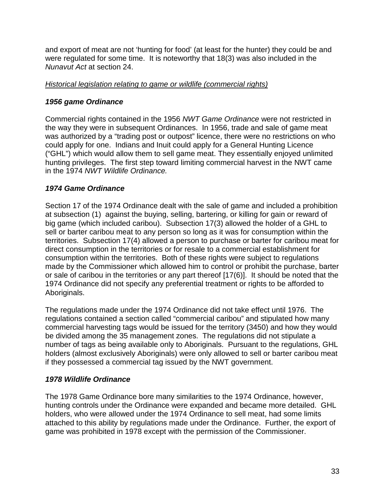and export of meat are not 'hunting for food' (at least for the hunter) they could be and were regulated for some time. It is noteworthy that 18(3) was also included in the *Nunavut Act* at section 24.

### *Historical legislation relating to game or wildlife (commercial rights)*

### *1956 game Ordinance*

Commercial rights contained in the 1956 *NWT Game Ordinance* were not restricted in the way they were in subsequent Ordinances. In 1956, trade and sale of game meat was authorized by a "trading post or outpost" licence, there were no restrictions on who could apply for one. Indians and Inuit could apply for a General Hunting Licence ("GHL") which would allow them to sell game meat. They essentially enjoyed unlimited hunting privileges. The first step toward limiting commercial harvest in the NWT came in the 1974 *NWT Wildlife Ordinance.* 

### *1974 Game Ordinance*

Section 17 of the 1974 Ordinance dealt with the sale of game and included a prohibition at subsection (1) against the buying, selling, bartering, or killing for gain or reward of big game (which included caribou). Subsection 17(3) allowed the holder of a GHL to sell or barter caribou meat to any person so long as it was for consumption within the territories. Subsection 17(4) allowed a person to purchase or barter for caribou meat for direct consumption in the territories or for resale to a commercial establishment for consumption within the territories. Both of these rights were subject to regulations made by the Commissioner which allowed him to control or prohibit the purchase, barter or sale of caribou in the territories or any part thereof [17(6)]. It should be noted that the 1974 Ordinance did not specify any preferential treatment or rights to be afforded to Aboriginals.

The regulations made under the 1974 Ordinance did not take effect until 1976. The regulations contained a section called "commercial caribou" and stipulated how many commercial harvesting tags would be issued for the territory (3450) and how they would be divided among the 35 management zones. The regulations did not stipulate a number of tags as being available only to Aboriginals. Pursuant to the regulations, GHL holders (almost exclusively Aboriginals) were only allowed to sell or barter caribou meat if they possessed a commercial tag issued by the NWT government.

#### *1978 Wildlife Ordinance*

The 1978 Game Ordinance bore many similarities to the 1974 Ordinance, however, hunting controls under the Ordinance were expanded and became more detailed. GHL holders, who were allowed under the 1974 Ordinance to sell meat, had some limits attached to this ability by regulations made under the Ordinance. Further, the export of game was prohibited in 1978 except with the permission of the Commissioner.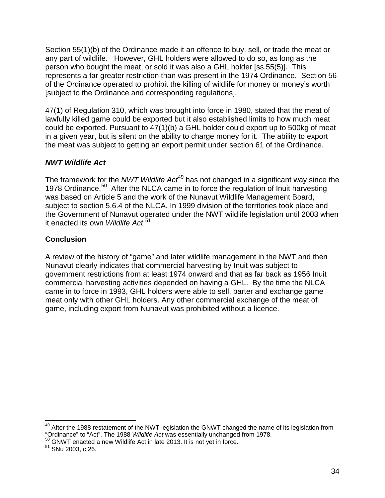Section 55(1)(b) of the Ordinance made it an offence to buy, sell, or trade the meat or any part of wildlife. However, GHL holders were allowed to do so, as long as the person who bought the meat, or sold it was also a GHL holder [ss.55(5)]. This represents a far greater restriction than was present in the 1974 Ordinance. Section 56 of the Ordinance operated to prohibit the killing of wildlife for money or money's worth [subject to the Ordinance and corresponding regulations].

47(1) of Regulation 310, which was brought into force in 1980, stated that the meat of lawfully killed game could be exported but it also established limits to how much meat could be exported. Pursuant to 47(1)(b) a GHL holder could export up to 500kg of meat in a given year, but is silent on the ability to charge money for it. The ability to export the meat was subject to getting an export permit under section 61 of the Ordinance.

## *NWT Wildlife Act*

The framework for the *NWT Wildlife Act*<sup>[49](#page-33-1)</sup> has not changed in a significant way since the 1978 Ordinance.<sup>[50](#page-35-0)</sup> After the NLCA came in to force the regulation of Inuit harvesting was based on Article 5 and the work of the Nunavut Wildlife Management Board, subject to section 5.6.4 of the NLCA. In 1999 division of the territories took place and the Government of Nunavut operated under the NWT wildlife legislation until 2003 when it enacted its own *Wildlife Act*. [51](#page-35-1)

### **Conclusion**

A review of the history of "game" and later wildlife management in the NWT and then Nunavut clearly indicates that commercial harvesting by Inuit was subject to government restrictions from at least 1974 onward and that as far back as 1956 Inuit commercial harvesting activities depended on having a GHL. By the time the NLCA came in to force in 1993, GHL holders were able to sell, barter and exchange game meat only with other GHL holders. Any other commercial exchange of the meat of game, including export from Nunavut was prohibited without a licence.

<sup>&</sup>lt;sup>49</sup> After the 1988 restatement of the NWT legislation the GNWT changed the name of its legislation from "Ordinance" to "Act". The <sup>1988</sup>*Wildlife Act* was essentially unchanged from 1978. 50 GNWT enacted a new Wildlife Act in late 2013. It is not yet in force. <sup>51</sup> SNu 2003, c.26.

<span id="page-35-0"></span>

<span id="page-35-1"></span>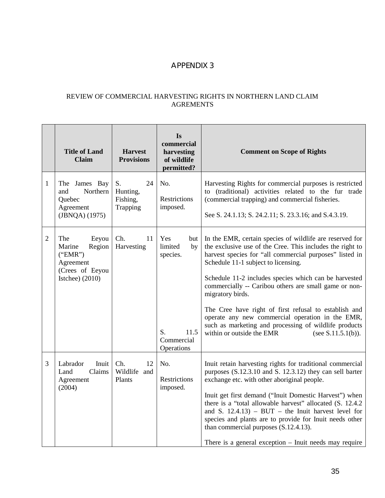# APPENDIX 3

#### REVIEW OF COMMERCIAL HARVESTING RIGHTS IN NORTHERN LAND CLAIM AGREMENTS

|                | <b>Title of Land</b><br><b>Claim</b>                                                             | <b>Harvest</b><br><b>Provisions</b>          | Is<br>commercial<br>harvesting<br>of wildlife<br>permitted?                         | <b>Comment on Scope of Rights</b>                                                                                                                                                                                                                                                                                                                                                                                                                                                                                                                                                         |
|----------------|--------------------------------------------------------------------------------------------------|----------------------------------------------|-------------------------------------------------------------------------------------|-------------------------------------------------------------------------------------------------------------------------------------------------------------------------------------------------------------------------------------------------------------------------------------------------------------------------------------------------------------------------------------------------------------------------------------------------------------------------------------------------------------------------------------------------------------------------------------------|
| $\mathbf{1}$   | The James Bay<br>Northern<br>and<br>Quebec<br>Agreement<br>(JBNQA) (1975)                        | S.<br>24<br>Hunting,<br>Fishing,<br>Trapping | No.<br>Restrictions<br>imposed.                                                     | Harvesting Rights for commercial purposes is restricted<br>to (traditional) activities related to the fur trade<br>(commercial trapping) and commercial fisheries.<br>See S. 24.1.13; S. 24.2.11; S. 23.3.16; and S.4.3.19.                                                                                                                                                                                                                                                                                                                                                               |
| $\overline{2}$ | The<br>Eeyou<br>Marine<br>Region<br>("EMR")<br>Agreement<br>(Crees of Eeyou<br>Istchee) $(2010)$ | Ch.<br>11<br>Harvesting                      | Yes<br>but  <br>limited<br>by<br>species.<br>S.<br>11.5<br>Commercial<br>Operations | In the EMR, certain species of wildlife are reserved for<br>the exclusive use of the Cree. This includes the right to<br>harvest species for "all commercial purposes" listed in<br>Schedule 11-1 subject to licensing.<br>Schedule 11-2 includes species which can be harvested<br>commercially -- Caribou others are small game or non-<br>migratory birds.<br>The Cree have right of first refusal to establish and<br>operate any new commercial operation in the EMR,<br>such as marketing and processing of wildlife products<br>within or outside the EMR<br>(see $S.11.5.1(b)$ ). |
| 3              | Labrador<br>Inuit<br>Land<br>Claims<br>Agreement<br>(2004)                                       | Ch.<br>12<br>Wildlife and<br>Plants          | No.<br>Restrictions<br>imposed.                                                     | Inuit retain harvesting rights for traditional commercial<br>purposes (S.12.3.10 and S. 12.3.12) they can sell barter<br>exchange etc. with other aboriginal people.<br>Inuit get first demand ("Inuit Domestic Harvest") when<br>there is a "total allowable harvest" allocated (S. 12.4.2)<br>and S. $12.4.13$ ) – BUT – the Inuit harvest level for<br>species and plants are to provide for Inuit needs other<br>than commercial purposes $(S.12.4.13)$ .<br>There is a general exception $-$ Inuit needs may require                                                                 |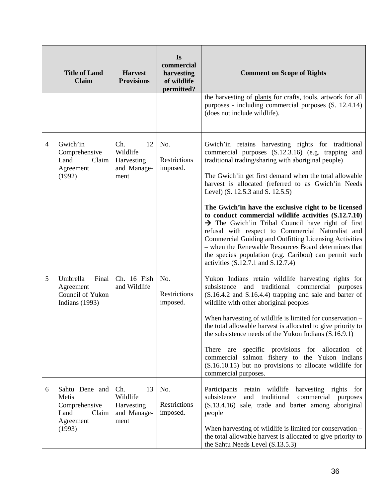|   | <b>Title of Land</b><br><b>Claim</b>                                             | <b>Harvest</b><br><b>Provisions</b>                        | <b>Is</b><br>commercial<br>harvesting<br>of wildlife<br>permitted? | <b>Comment on Scope of Rights</b>                                                                                                                                                                                                                                                                                                                                                                                                                                                                                                                                                                                                                                                                                                                                            |
|---|----------------------------------------------------------------------------------|------------------------------------------------------------|--------------------------------------------------------------------|------------------------------------------------------------------------------------------------------------------------------------------------------------------------------------------------------------------------------------------------------------------------------------------------------------------------------------------------------------------------------------------------------------------------------------------------------------------------------------------------------------------------------------------------------------------------------------------------------------------------------------------------------------------------------------------------------------------------------------------------------------------------------|
|   |                                                                                  |                                                            |                                                                    | the harvesting of plants for crafts, tools, artwork for all<br>purposes - including commercial purposes (S. 12.4.14)<br>(does not include wildlife).                                                                                                                                                                                                                                                                                                                                                                                                                                                                                                                                                                                                                         |
| 4 | Gwich'in<br>Comprehensive<br>Land<br>Claim<br>Agreement<br>(1992)                | Ch.<br>12<br>Wildlife<br>Harvesting<br>and Manage-<br>ment | No.<br>Restrictions<br>imposed.                                    | Gwich'in retains harvesting rights for traditional<br>commercial purposes (S.12.3.16) (e.g. trapping and<br>traditional trading/sharing with aboriginal people)<br>The Gwich'in get first demand when the total allowable<br>harvest is allocated (referred to as Gwich'in Needs<br>Level) (S. 12.5.3 and S. 12.5.5)<br>The Gwich'in have the exclusive right to be licensed<br>to conduct commercial wildlife activities (S.12.7.10)<br>$\rightarrow$ The Gwich'in Tribal Council have right of first<br>refusal with respect to Commercial Naturalist and<br>Commercial Guiding and Outfitting Licensing Activities<br>- when the Renewable Resources Board determines that<br>the species population (e.g. Caribou) can permit such<br>activities (S.12.7.1 and S.12.7.4) |
| 5 | Final<br>Umbrella<br>Agreement<br>Council of Yukon<br><b>Indians</b> (1993)      | Ch. 16 Fish<br>and Wildlife                                | No.<br>Restrictions<br>imposed.                                    | Yukon Indians retain wildlife harvesting rights for<br>subsistence<br>traditional<br>commercial<br>and<br>purposes<br>$(S.16.4.2$ and $S.16.4.4)$ trapping and sale and barter of<br>wildlife with other aboriginal peoples<br>When harvesting of wildlife is limited for conservation -<br>the total allowable harvest is allocated to give priority to<br>the subsistence needs of the Yukon Indians (S.16.9.1)<br>There are specific provisions for allocation of<br>commercial salmon fishery to the Yukon Indians<br>(S.16.10.15) but no provisions to allocate wildlife for<br>commercial purposes.                                                                                                                                                                    |
| 6 | Sahtu Dene and<br>Metis<br>Comprehensive<br>Land<br>Claim<br>Agreement<br>(1993) | Ch.<br>13<br>Wildlife<br>Harvesting<br>and Manage-<br>ment | No.<br>Restrictions<br>imposed.                                    | retain wildlife harvesting rights for<br>Participants<br>subsistence<br>traditional<br>and<br>commercial purposes<br>(S.13.4.16) sale, trade and barter among aboriginal<br>people<br>When harvesting of wildlife is limited for conservation -<br>the total allowable harvest is allocated to give priority to<br>the Sahtu Needs Level (S.13.5.3)                                                                                                                                                                                                                                                                                                                                                                                                                          |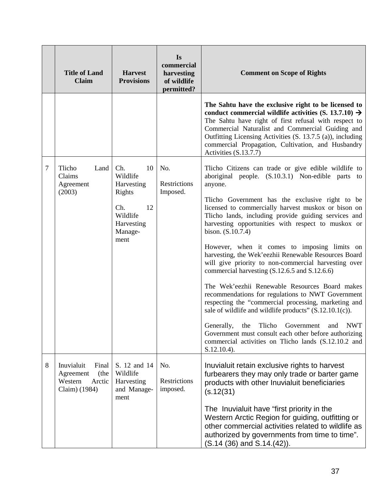|   | <b>Title of Land</b><br><b>Claim</b>                                           | <b>Harvest</b><br><b>Provisions</b>                                                                     | Is<br>commercial<br>harvesting<br>of wildlife<br>permitted? | <b>Comment on Scope of Rights</b>                                                                                                                                                                                                                                                                                                                                                                                                                                                                                                                                                                                                                                                                                                                                                                                                                                                                                                                                                           |
|---|--------------------------------------------------------------------------------|---------------------------------------------------------------------------------------------------------|-------------------------------------------------------------|---------------------------------------------------------------------------------------------------------------------------------------------------------------------------------------------------------------------------------------------------------------------------------------------------------------------------------------------------------------------------------------------------------------------------------------------------------------------------------------------------------------------------------------------------------------------------------------------------------------------------------------------------------------------------------------------------------------------------------------------------------------------------------------------------------------------------------------------------------------------------------------------------------------------------------------------------------------------------------------------|
|   |                                                                                |                                                                                                         |                                                             | The Sahtu have the exclusive right to be licensed to<br>conduct commercial wildlife activities (S. 13.7.10) $\rightarrow$<br>The Sahtu have right of first refusal with respect to<br>Commercial Naturalist and Commercial Guiding and<br>Outfitting Licensing Activities (S. 13.7.5 (a)), including<br>commercial Propagation, Cultivation, and Husbandry<br>Activities (S.13.7.7)                                                                                                                                                                                                                                                                                                                                                                                                                                                                                                                                                                                                         |
| 7 | Tlicho<br>Land<br>Claims<br>Agreement<br>(2003)                                | Ch.<br>10<br>Wildlife<br>Harvesting<br>Rights<br>Ch.<br>12<br>Wildlife<br>Harvesting<br>Manage-<br>ment | No.<br>Restrictions<br>Imposed.                             | Tlicho Citizens can trade or give edible wildlife to<br>aboriginal people. (S.10.3.1) Non-edible parts to<br>anyone.<br>Tlicho Government has the exclusive right to be<br>licensed to commercially harvest muskox or bison on<br>Tlicho lands, including provide guiding services and<br>harvesting opportunities with respect to muskox or<br>bison. (S.10.7.4)<br>However, when it comes to imposing limits on<br>harvesting, the Wek'eezhii Renewable Resources Board<br>will give priority to non-commercial harvesting over<br>commercial harvesting (S.12.6.5 and S.12.6.6)<br>The Wek'eezhii Renewable Resources Board makes<br>recommendations for regulations to NWT Government<br>respecting the "commercial processing, marketing and<br>sale of wildlife and wildlife products" $(S.12.10.1(c))$ .<br>Generally, the Tlicho Government and NWT<br>Government must consult each other before authorizing<br>commercial activities on Tlicho lands (S.12.10.2 and<br>S.12.10.4). |
| 8 | Inuvialuit<br>Final<br>(the<br>Agreement<br>Western<br>Arctic<br>Claim) (1984) | S. 12 and 14<br>Wildlife<br>Harvesting<br>and Manage-<br>ment                                           | No.<br>Restrictions<br>imposed.                             | Inuvialuit retain exclusive rights to harvest<br>furbearers they may only trade or barter game<br>products with other Inuvialuit beneficiaries<br>(s.12(31))<br>The Inuvialuit have "first priority in the<br>Western Arctic Region for guiding, outfitting or<br>other commercial activities related to wildlife as<br>authorized by governments from time to time".<br>$(S.14 (36)$ and $S.14.(42))$ .                                                                                                                                                                                                                                                                                                                                                                                                                                                                                                                                                                                    |